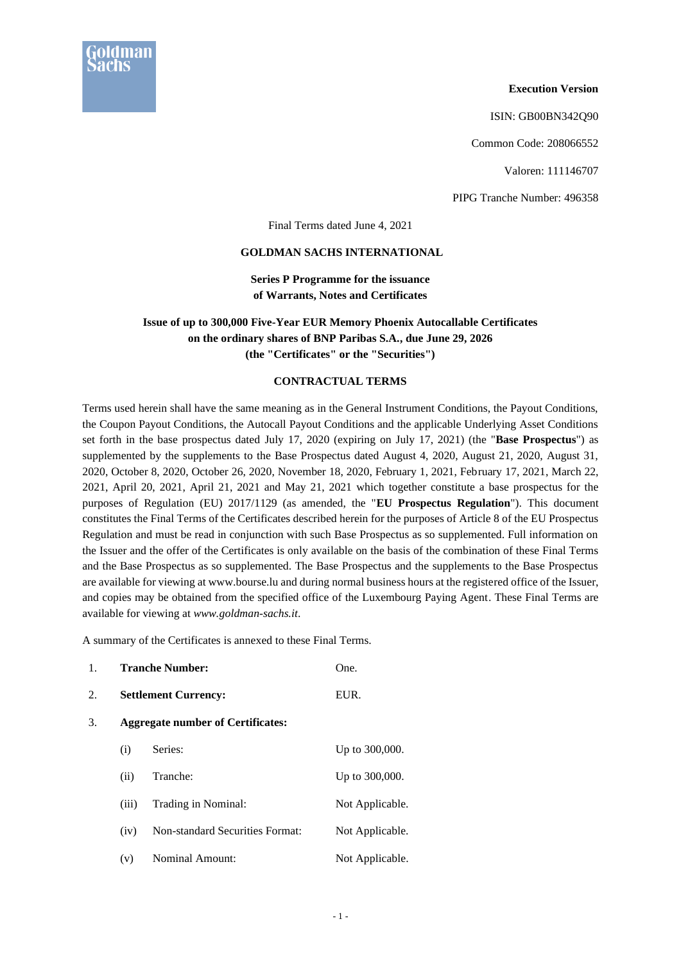

#### **Execution Version**

ISIN: GB00BN342Q90

Common Code: 208066552

Valoren: 111146707

PIPG Tranche Number: 496358

Final Terms dated June 4, 2021

#### **GOLDMAN SACHS INTERNATIONAL**

**Series P Programme for the issuance of Warrants, Notes and Certificates**

## **Issue of up to 300,000 Five-Year EUR Memory Phoenix Autocallable Certificates on the ordinary shares of BNP Paribas S.A., due June 29, 2026 (the "Certificates" or the "Securities")**

### **CONTRACTUAL TERMS**

Terms used herein shall have the same meaning as in the General Instrument Conditions, the Payout Conditions, the Coupon Payout Conditions, the Autocall Payout Conditions and the applicable Underlying Asset Conditions set forth in the base prospectus dated July 17, 2020 (expiring on July 17, 2021) (the "**Base Prospectus**") as supplemented by the supplements to the Base Prospectus dated August 4, 2020, August 21, 2020, August 31, 2020, October 8, 2020, October 26, 2020, November 18, 2020, February 1, 2021, February 17, 2021, March 22, 2021, April 20, 2021, April 21, 2021 and May 21, 2021 which together constitute a base prospectus for the purposes of Regulation (EU) 2017/1129 (as amended, the "**EU Prospectus Regulation**"). This document constitutes the Final Terms of the Certificates described herein for the purposes of Article 8 of the EU Prospectus Regulation and must be read in conjunction with such Base Prospectus as so supplemented. Full information on the Issuer and the offer of the Certificates is only available on the basis of the combination of these Final Terms and the Base Prospectus as so supplemented. The Base Prospectus and the supplements to the Base Prospectus are available for viewing at www.bourse.lu and during normal business hours at the registered office of the Issuer, and copies may be obtained from the specified office of the Luxembourg Paying Agent. These Final Terms are available for viewing at *www.goldman-sachs.it*.

A summary of the Certificates is annexed to these Final Terms.

| 1. | <b>Tranche Number:</b><br><b>Settlement Currency:</b> |                                        | One.<br>EUR.    |  |
|----|-------------------------------------------------------|----------------------------------------|-----------------|--|
| 2. |                                                       |                                        |                 |  |
| 3. | <b>Aggregate number of Certificates:</b>              |                                        |                 |  |
|    | (i)                                                   | Series:                                | Up to 300,000.  |  |
|    | (ii)                                                  | Tranche:                               | Up to 300,000.  |  |
|    | (iii)                                                 | Trading in Nominal:                    | Not Applicable. |  |
|    | (iv)                                                  | <b>Non-standard Securities Format:</b> | Not Applicable. |  |
|    | (v)                                                   | <b>Nominal Amount:</b>                 | Not Applicable. |  |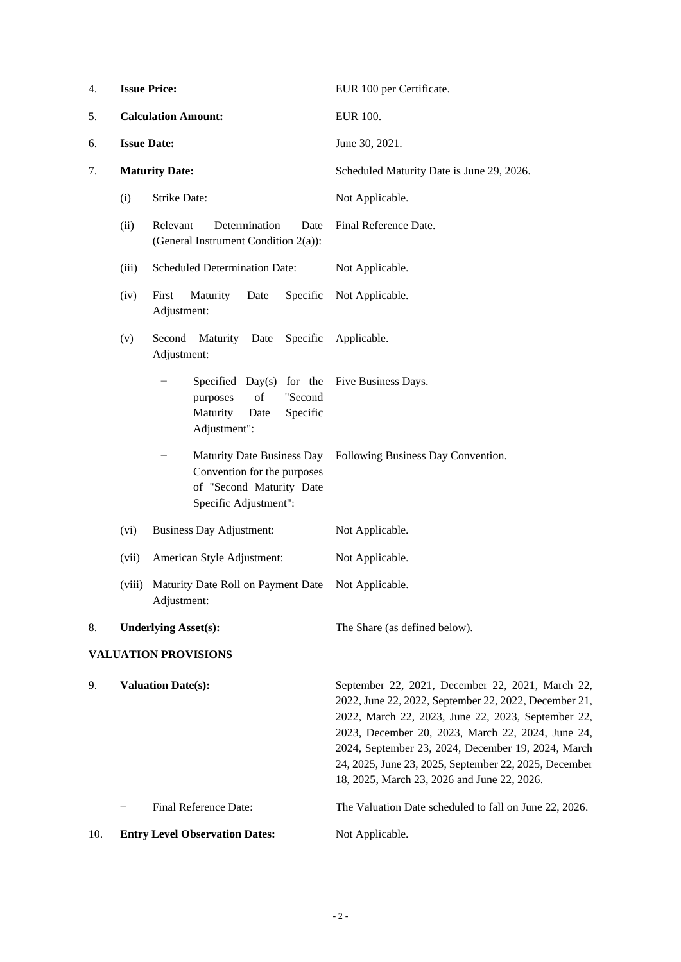| 4.  | <b>Issue Price:</b>        |                                                                                                                       | EUR 100 per Certificate.                                                                                                                                                                                                                                                                                                                                                           |
|-----|----------------------------|-----------------------------------------------------------------------------------------------------------------------|------------------------------------------------------------------------------------------------------------------------------------------------------------------------------------------------------------------------------------------------------------------------------------------------------------------------------------------------------------------------------------|
| 5.  | <b>Calculation Amount:</b> |                                                                                                                       | <b>EUR 100.</b>                                                                                                                                                                                                                                                                                                                                                                    |
| 6.  | <b>Issue Date:</b>         |                                                                                                                       | June 30, 2021.                                                                                                                                                                                                                                                                                                                                                                     |
| 7.  |                            | <b>Maturity Date:</b>                                                                                                 | Scheduled Maturity Date is June 29, 2026.                                                                                                                                                                                                                                                                                                                                          |
|     | (i)                        | <b>Strike Date:</b>                                                                                                   | Not Applicable.                                                                                                                                                                                                                                                                                                                                                                    |
|     | (ii)                       | Determination<br>Relevant<br>Date<br>(General Instrument Condition 2(a)):                                             | Final Reference Date.                                                                                                                                                                                                                                                                                                                                                              |
|     | (iii)                      | <b>Scheduled Determination Date:</b>                                                                                  | Not Applicable.                                                                                                                                                                                                                                                                                                                                                                    |
|     | (iv)                       | Maturity<br>Specific<br>First<br>Date<br>Adjustment:                                                                  | Not Applicable.                                                                                                                                                                                                                                                                                                                                                                    |
|     | (v)                        | Specific<br>Second<br>Maturity Date<br>Adjustment:                                                                    | Applicable.                                                                                                                                                                                                                                                                                                                                                                        |
|     |                            | Specified Day(s) for the<br>of<br>"Second<br>purposes<br>Maturity<br>Specific<br>Date<br>Adjustment":                 | Five Business Days.                                                                                                                                                                                                                                                                                                                                                                |
|     |                            | <b>Maturity Date Business Day</b><br>Convention for the purposes<br>of "Second Maturity Date<br>Specific Adjustment": | Following Business Day Convention.                                                                                                                                                                                                                                                                                                                                                 |
|     | (vi)                       | <b>Business Day Adjustment:</b>                                                                                       | Not Applicable.                                                                                                                                                                                                                                                                                                                                                                    |
|     | (vii)                      | American Style Adjustment:                                                                                            | Not Applicable.                                                                                                                                                                                                                                                                                                                                                                    |
|     | (viii)                     | Maturity Date Roll on Payment Date<br>Adjustment:                                                                     | Not Applicable.                                                                                                                                                                                                                                                                                                                                                                    |
| 8.  |                            | <b>Underlying Asset(s):</b>                                                                                           | The Share (as defined below).                                                                                                                                                                                                                                                                                                                                                      |
|     |                            | <b>VALUATION PROVISIONS</b>                                                                                           |                                                                                                                                                                                                                                                                                                                                                                                    |
| 9.  |                            | <b>Valuation Date(s):</b>                                                                                             | September 22, 2021, December 22, 2021, March 22,<br>2022, June 22, 2022, September 22, 2022, December 21,<br>2022, March 22, 2023, June 22, 2023, September 22,<br>2023, December 20, 2023, March 22, 2024, June 24,<br>2024, September 23, 2024, December 19, 2024, March<br>24, 2025, June 23, 2025, September 22, 2025, December<br>18, 2025, March 23, 2026 and June 22, 2026. |
|     |                            | Final Reference Date:                                                                                                 | The Valuation Date scheduled to fall on June 22, 2026.                                                                                                                                                                                                                                                                                                                             |
| 10. |                            | <b>Entry Level Observation Dates:</b>                                                                                 | Not Applicable.                                                                                                                                                                                                                                                                                                                                                                    |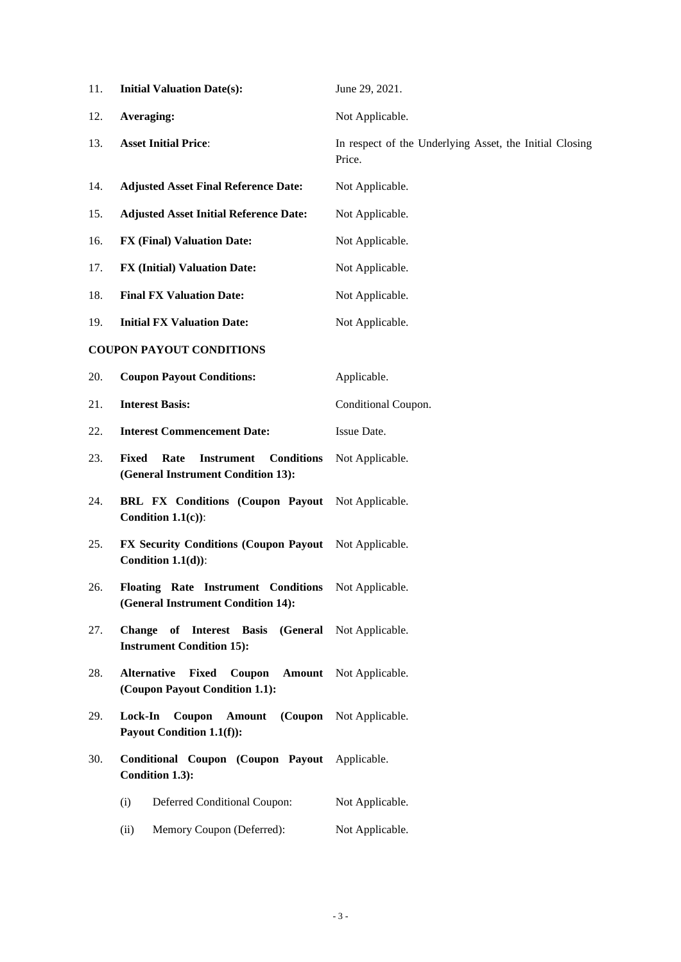| 11. | <b>Initial Valuation Date(s):</b>                                                                    | June 29, 2021.                                                    |
|-----|------------------------------------------------------------------------------------------------------|-------------------------------------------------------------------|
| 12. | Averaging:                                                                                           | Not Applicable.                                                   |
| 13. | <b>Asset Initial Price:</b>                                                                          | In respect of the Underlying Asset, the Initial Closing<br>Price. |
| 14. | <b>Adjusted Asset Final Reference Date:</b>                                                          | Not Applicable.                                                   |
| 15. | <b>Adjusted Asset Initial Reference Date:</b>                                                        | Not Applicable.                                                   |
| 16. | <b>FX (Final) Valuation Date:</b>                                                                    | Not Applicable.                                                   |
| 17. | <b>FX (Initial) Valuation Date:</b>                                                                  | Not Applicable.                                                   |
| 18. | <b>Final FX Valuation Date:</b>                                                                      | Not Applicable.                                                   |
| 19. | <b>Initial FX Valuation Date:</b>                                                                    | Not Applicable.                                                   |
|     | <b>COUPON PAYOUT CONDITIONS</b>                                                                      |                                                                   |
| 20. | <b>Coupon Payout Conditions:</b>                                                                     | Applicable.                                                       |
| 21. | <b>Interest Basis:</b>                                                                               | Conditional Coupon.                                               |
| 22. | <b>Interest Commencement Date:</b>                                                                   | Issue Date.                                                       |
| 23. | <b>Fixed</b><br>Rate<br><b>Instrument</b><br><b>Conditions</b><br>(General Instrument Condition 13): | Not Applicable.                                                   |
| 24. | BRL FX Conditions (Coupon Payout Not Applicable.<br>Condition $1.1(c)$ :                             |                                                                   |
| 25. | FX Security Conditions (Coupon Payout Not Applicable.<br>Condition $1.1(d)$ :                        |                                                                   |
| 26. | Floating Rate Instrument Conditions Not Applicable.<br>(General Instrument Condition 14):            |                                                                   |
| 27. | Change of Interest Basis (General Not Applicable.<br><b>Instrument Condition 15):</b>                |                                                                   |
| 28. | <b>Fixed</b> Coupon<br><b>Alternative</b><br>(Coupon Payout Condition 1.1):                          | <b>Amount</b> Not Applicable.                                     |
| 29. | Lock-In<br>Coupon<br>Amount<br>Payout Condition 1.1(f)):                                             | (Coupon Not Applicable.                                           |
| 30. | Conditional Coupon (Coupon Payout Applicable.<br>Condition 1.3):                                     |                                                                   |
|     | Deferred Conditional Coupon:<br>(i)                                                                  | Not Applicable.                                                   |
|     | Memory Coupon (Deferred):<br>(ii)                                                                    | Not Applicable.                                                   |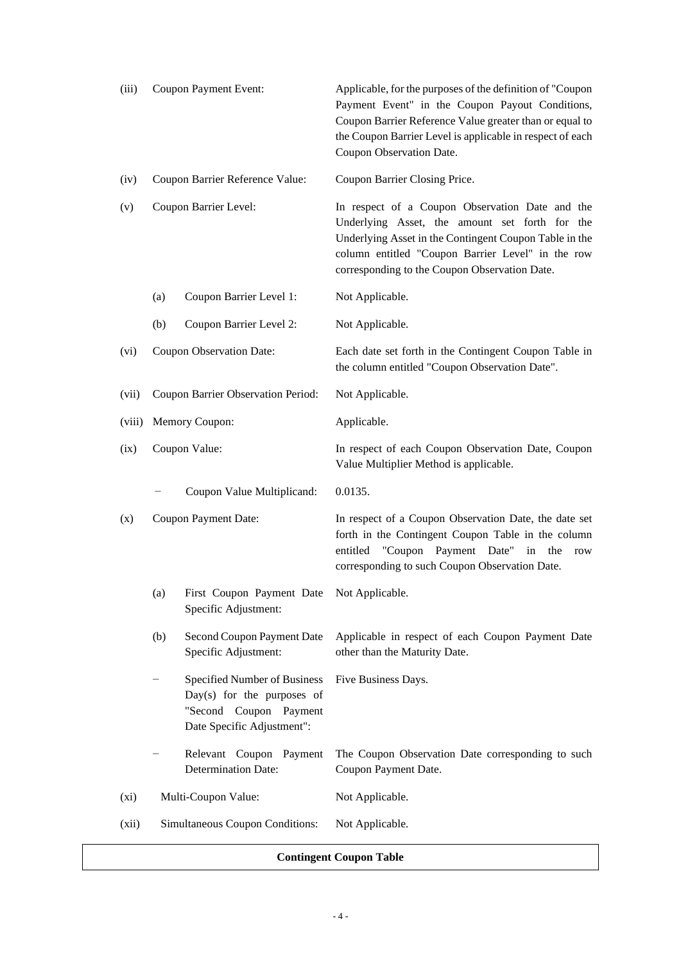| (iii)   | Coupon Payment Event:           |                                                                                                                      | Applicable, for the purposes of the definition of "Coupon<br>Payment Event" in the Coupon Payout Conditions,<br>Coupon Barrier Reference Value greater than or equal to<br>the Coupon Barrier Level is applicable in respect of each<br>Coupon Observation Date.  |
|---------|---------------------------------|----------------------------------------------------------------------------------------------------------------------|-------------------------------------------------------------------------------------------------------------------------------------------------------------------------------------------------------------------------------------------------------------------|
| (iv)    |                                 | Coupon Barrier Reference Value:                                                                                      | Coupon Barrier Closing Price.                                                                                                                                                                                                                                     |
| (v)     | Coupon Barrier Level:           |                                                                                                                      | In respect of a Coupon Observation Date and the<br>Underlying Asset, the amount set forth for the<br>Underlying Asset in the Contingent Coupon Table in the<br>column entitled "Coupon Barrier Level" in the row<br>corresponding to the Coupon Observation Date. |
|         | (a)                             | Coupon Barrier Level 1:                                                                                              | Not Applicable.                                                                                                                                                                                                                                                   |
|         | (b)                             | Coupon Barrier Level 2:                                                                                              | Not Applicable.                                                                                                                                                                                                                                                   |
| (vi)    |                                 | Coupon Observation Date:                                                                                             | Each date set forth in the Contingent Coupon Table in<br>the column entitled "Coupon Observation Date".                                                                                                                                                           |
| (vii)   |                                 | Coupon Barrier Observation Period:                                                                                   | Not Applicable.                                                                                                                                                                                                                                                   |
| (viii)  |                                 | Memory Coupon:                                                                                                       | Applicable.                                                                                                                                                                                                                                                       |
| (ix)    | Coupon Value:                   |                                                                                                                      | In respect of each Coupon Observation Date, Coupon<br>Value Multiplier Method is applicable.                                                                                                                                                                      |
|         |                                 | Coupon Value Multiplicand:                                                                                           | 0.0135.                                                                                                                                                                                                                                                           |
| (x)     | Coupon Payment Date:            |                                                                                                                      | In respect of a Coupon Observation Date, the date set<br>forth in the Contingent Coupon Table in the column<br>"Coupon Payment Date"<br>entitled<br>the<br>in<br>row<br>corresponding to such Coupon Observation Date.                                            |
|         | (a)                             | First Coupon Payment Date Not Applicable.<br>Specific Adjustment:                                                    |                                                                                                                                                                                                                                                                   |
|         | (b)                             | Second Coupon Payment Date<br>Specific Adjustment:                                                                   | Applicable in respect of each Coupon Payment Date<br>other than the Maturity Date.                                                                                                                                                                                |
|         |                                 | Specified Number of Business<br>$Day(s)$ for the purposes of<br>"Second Coupon Payment<br>Date Specific Adjustment": | Five Business Days.                                                                                                                                                                                                                                               |
|         |                                 | Relevant Coupon Payment<br><b>Determination Date:</b>                                                                | The Coupon Observation Date corresponding to such<br>Coupon Payment Date.                                                                                                                                                                                         |
| $(x_i)$ |                                 | Multi-Coupon Value:                                                                                                  | Not Applicable.                                                                                                                                                                                                                                                   |
| (xii)   | Simultaneous Coupon Conditions: |                                                                                                                      | Not Applicable.                                                                                                                                                                                                                                                   |

## **Contingent Coupon Table**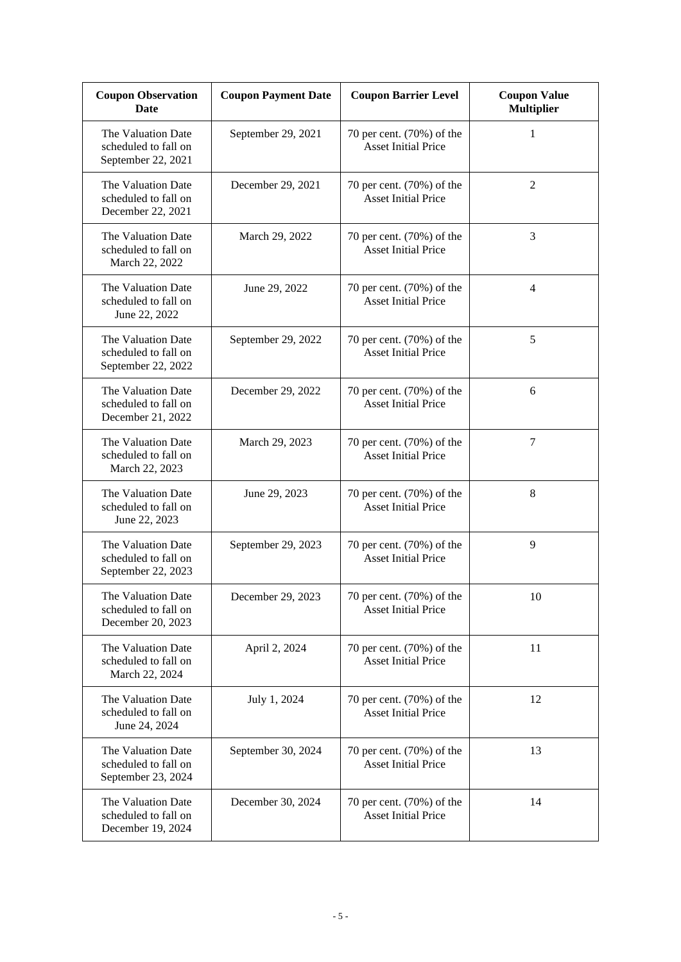| <b>Coupon Observation</b><br>Date                                | <b>Coupon Payment Date</b> | <b>Coupon Barrier Level</b>                               | <b>Coupon Value</b><br><b>Multiplier</b> |
|------------------------------------------------------------------|----------------------------|-----------------------------------------------------------|------------------------------------------|
| The Valuation Date<br>scheduled to fall on<br>September 22, 2021 | September 29, 2021         | 70 per cent. (70%) of the<br><b>Asset Initial Price</b>   | 1                                        |
| The Valuation Date<br>scheduled to fall on<br>December 22, 2021  | December 29, 2021          | 70 per cent. (70%) of the<br><b>Asset Initial Price</b>   | $\overline{2}$                           |
| The Valuation Date<br>scheduled to fall on<br>March 22, 2022     | March 29, 2022             | 70 per cent. (70%) of the<br><b>Asset Initial Price</b>   | 3                                        |
| The Valuation Date<br>scheduled to fall on<br>June 22, 2022      | June 29, 2022              | 70 per cent. (70%) of the<br><b>Asset Initial Price</b>   | $\overline{4}$                           |
| The Valuation Date<br>scheduled to fall on<br>September 22, 2022 | September 29, 2022         | 70 per cent. (70%) of the<br><b>Asset Initial Price</b>   | 5                                        |
| The Valuation Date<br>scheduled to fall on<br>December 21, 2022  | December 29, 2022          | 70 per cent. (70%) of the<br><b>Asset Initial Price</b>   | 6                                        |
| The Valuation Date<br>scheduled to fall on<br>March 22, 2023     | March 29, 2023             | 70 per cent. (70%) of the<br><b>Asset Initial Price</b>   | 7                                        |
| The Valuation Date<br>scheduled to fall on<br>June 22, 2023      | June 29, 2023              | 70 per cent. (70%) of the<br><b>Asset Initial Price</b>   | $\,8\,$                                  |
| The Valuation Date<br>scheduled to fall on<br>September 22, 2023 | September 29, 2023         | 70 per cent. (70%) of the<br><b>Asset Initial Price</b>   | 9                                        |
| The Valuation Date<br>scheduled to fall on<br>December 20, 2023  | December 29, 2023          | 70 per cent. $(70%)$ of the<br><b>Asset Initial Price</b> | 10                                       |
| The Valuation Date<br>scheduled to fall on<br>March 22, 2024     | April 2, 2024              | 70 per cent. $(70%)$ of the<br><b>Asset Initial Price</b> | 11                                       |
| The Valuation Date<br>scheduled to fall on<br>June 24, 2024      | July 1, 2024               | 70 per cent. (70%) of the<br><b>Asset Initial Price</b>   | 12                                       |
| The Valuation Date<br>scheduled to fall on<br>September 23, 2024 | September 30, 2024         | 70 per cent. (70%) of the<br><b>Asset Initial Price</b>   | 13                                       |
| The Valuation Date<br>scheduled to fall on<br>December 19, 2024  | December 30, 2024          | 70 per cent. (70%) of the<br><b>Asset Initial Price</b>   | 14                                       |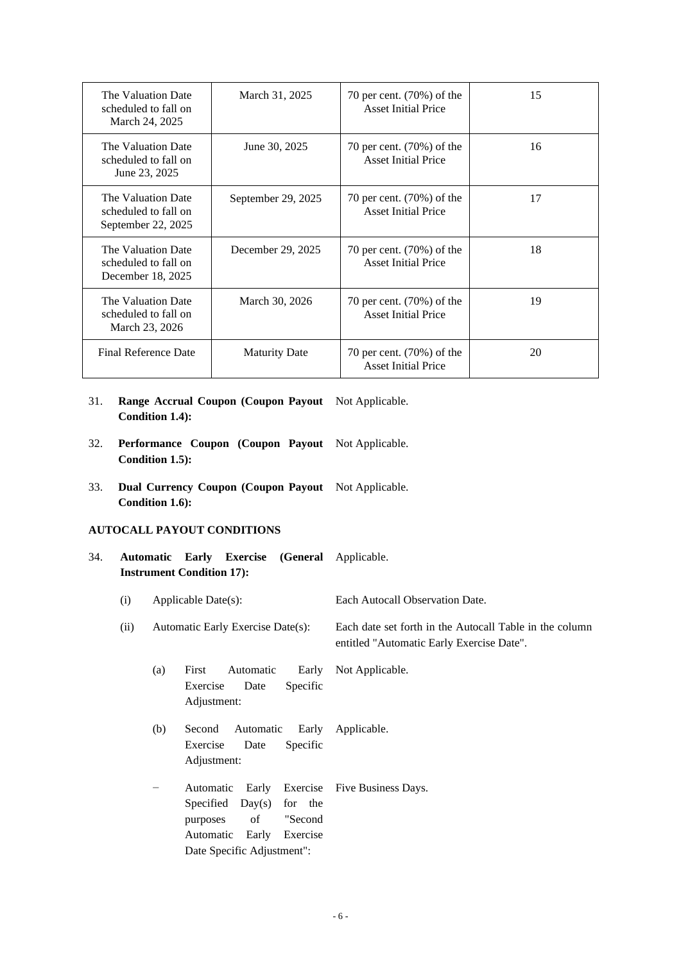| The Valuation Date<br>scheduled to fall on<br>March 24, 2025     | March 31, 2025       | 70 per cent. (70%) of the<br><b>Asset Initial Price</b>    | 15 |
|------------------------------------------------------------------|----------------------|------------------------------------------------------------|----|
| The Valuation Date<br>scheduled to fall on<br>June 23, 2025      | June 30, 2025        | 70 per cent. $(70\%)$ of the<br><b>Asset Initial Price</b> | 16 |
| The Valuation Date<br>scheduled to fall on<br>September 22, 2025 | September 29, 2025   | 70 per cent. $(70%)$ of the<br><b>Asset Initial Price</b>  | 17 |
| The Valuation Date<br>scheduled to fall on<br>December 18, 2025  | December 29, 2025    | 70 per cent. (70%) of the<br><b>Asset Initial Price</b>    | 18 |
| The Valuation Date<br>scheduled to fall on<br>March 23, 2026     | March 30, 2026       | 70 per cent. $(70%)$ of the<br><b>Asset Initial Price</b>  | 19 |
| <b>Final Reference Date</b>                                      | <b>Maturity Date</b> | 70 per cent. $(70\%)$ of the<br><b>Asset Initial Price</b> | 20 |

31. **Range Accrual Coupon (Coupon Payout**  Not Applicable. **Condition 1.4):**

- 32. **Performance Coupon (Coupon Payout**  Not Applicable. **Condition 1.5):**
- 33. **Dual Currency Coupon (Coupon Payout**  Not Applicable. **Condition 1.6):**

### **AUTOCALL PAYOUT CONDITIONS**

- 34. **Automatic Early Exercise (General**  Applicable. **Instrument Condition 17):**
	- (i) Applicable Date(s): Each Autocall Observation Date.

(ii) Automatic Early Exercise Date(s): Each date set forth in the Autocall Table in the column entitled "Automatic Early Exercise Date".

- (a) First Automatic Early Exercise Date Specific Adjustment: Not Applicable.
- (b) Second Automatic Early Exercise Date Specific Adjustment: Applicable.
- − Automatic Early Exercise Specified Day(s) for the purposes of "Second Automatic Early Exercise Date Specific Adjustment": Five Business Days.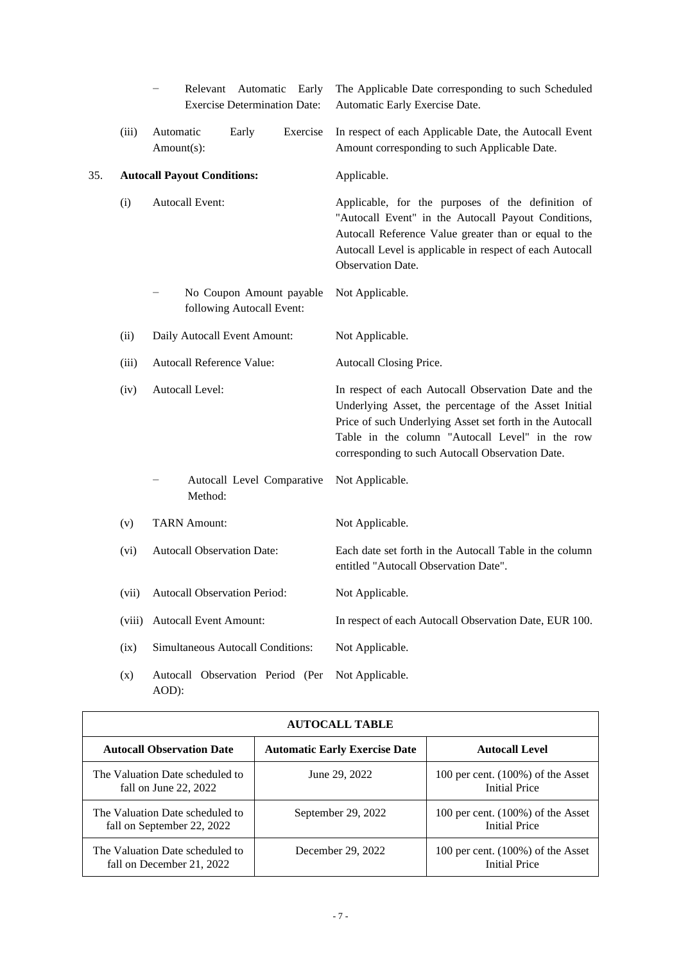|     |        | Relevant Automatic<br>Early<br><b>Exercise Determination Date:</b> | The Applicable Date corresponding to such Scheduled<br>Automatic Early Exercise Date.                                                                                                                                                                                            |
|-----|--------|--------------------------------------------------------------------|----------------------------------------------------------------------------------------------------------------------------------------------------------------------------------------------------------------------------------------------------------------------------------|
|     | (iii)  | Automatic<br>Exercise<br>Early<br>Amount(s):                       | In respect of each Applicable Date, the Autocall Event<br>Amount corresponding to such Applicable Date.                                                                                                                                                                          |
| 35. |        | <b>Autocall Payout Conditions:</b>                                 | Applicable.                                                                                                                                                                                                                                                                      |
|     | (i)    | <b>Autocall Event:</b>                                             | Applicable, for the purposes of the definition of<br>"Autocall Event" in the Autocall Payout Conditions,<br>Autocall Reference Value greater than or equal to the<br>Autocall Level is applicable in respect of each Autocall<br>Observation Date.                               |
|     |        | No Coupon Amount payable<br>following Autocall Event:              | Not Applicable.                                                                                                                                                                                                                                                                  |
|     | (ii)   | Daily Autocall Event Amount:                                       | Not Applicable.                                                                                                                                                                                                                                                                  |
|     | (iii)  | Autocall Reference Value:                                          | Autocall Closing Price.                                                                                                                                                                                                                                                          |
|     | (iv)   | Autocall Level:                                                    | In respect of each Autocall Observation Date and the<br>Underlying Asset, the percentage of the Asset Initial<br>Price of such Underlying Asset set forth in the Autocall<br>Table in the column "Autocall Level" in the row<br>corresponding to such Autocall Observation Date. |
|     |        | Autocall Level Comparative<br>Method:                              | Not Applicable.                                                                                                                                                                                                                                                                  |
|     | (v)    | <b>TARN Amount:</b>                                                | Not Applicable.                                                                                                                                                                                                                                                                  |
|     | (vi)   | <b>Autocall Observation Date:</b>                                  | Each date set forth in the Autocall Table in the column<br>entitled "Autocall Observation Date".                                                                                                                                                                                 |
|     | (vii)  | <b>Autocall Observation Period:</b>                                | Not Applicable.                                                                                                                                                                                                                                                                  |
|     | (viii) | <b>Autocall Event Amount:</b>                                      | In respect of each Autocall Observation Date, EUR 100.                                                                                                                                                                                                                           |
|     | (ix)   | Simultaneous Autocall Conditions:                                  | Not Applicable.                                                                                                                                                                                                                                                                  |
|     | (x)    | Autocall Observation Period (Per<br>AOD):                          | Not Applicable.                                                                                                                                                                                                                                                                  |

| <b>AUTOCALL TABLE</b>                                         |                                      |                                                              |  |  |
|---------------------------------------------------------------|--------------------------------------|--------------------------------------------------------------|--|--|
| <b>Autocall Observation Date</b>                              | <b>Automatic Early Exercise Date</b> | <b>Autocall Level</b>                                        |  |  |
| The Valuation Date scheduled to<br>fall on June 22, $2022$    | June 29, 2022                        | 100 per cent. $(100\%)$ of the Asset<br><b>Initial Price</b> |  |  |
| The Valuation Date scheduled to<br>fall on September 22, 2022 | September 29, 2022                   | 100 per cent. $(100\%)$ of the Asset<br><b>Initial Price</b> |  |  |
| The Valuation Date scheduled to<br>fall on December 21, 2022  | December 29, 2022                    | 100 per cent. $(100\%)$ of the Asset<br><b>Initial Price</b> |  |  |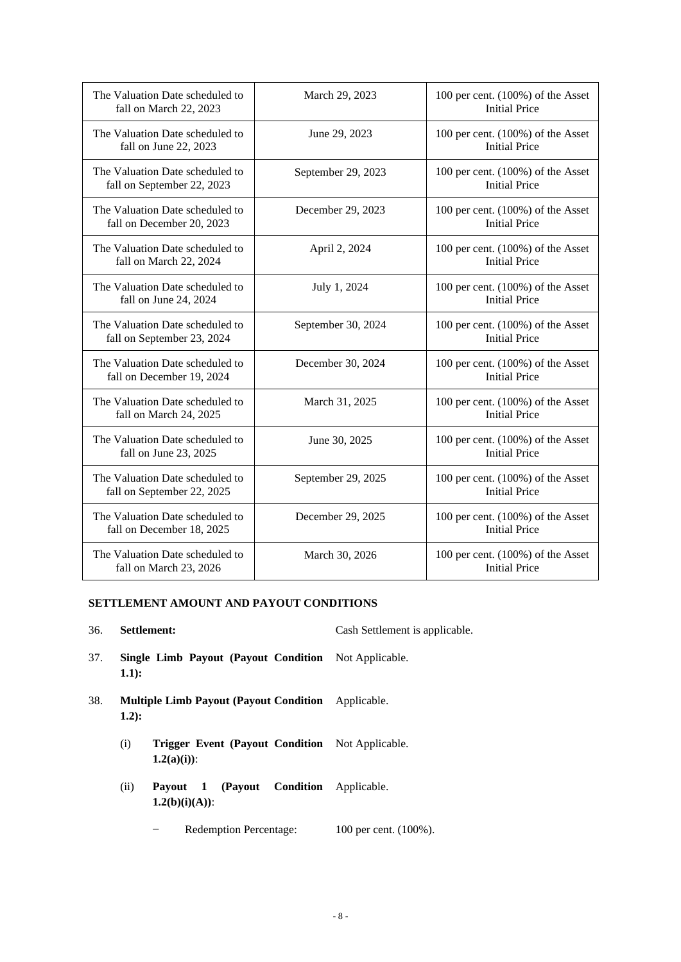| The Valuation Date scheduled to<br>fall on March 22, 2023     | March 29, 2023     | 100 per cent. $(100\%)$ of the Asset<br><b>Initial Price</b> |
|---------------------------------------------------------------|--------------------|--------------------------------------------------------------|
| The Valuation Date scheduled to<br>fall on June 22, 2023      | June 29, 2023      | 100 per cent. $(100\%)$ of the Asset<br><b>Initial Price</b> |
| The Valuation Date scheduled to<br>fall on September 22, 2023 | September 29, 2023 | 100 per cent. $(100\%)$ of the Asset<br><b>Initial Price</b> |
| The Valuation Date scheduled to<br>fall on December 20, 2023  | December 29, 2023  | 100 per cent. $(100\%)$ of the Asset<br><b>Initial Price</b> |
| The Valuation Date scheduled to<br>fall on March 22, 2024     | April 2, 2024      | 100 per cent. $(100\%)$ of the Asset<br><b>Initial Price</b> |
| The Valuation Date scheduled to<br>fall on June 24, 2024      | July 1, 2024       | 100 per cent. $(100\%)$ of the Asset<br><b>Initial Price</b> |
| The Valuation Date scheduled to<br>fall on September 23, 2024 | September 30, 2024 | 100 per cent. (100%) of the Asset<br><b>Initial Price</b>    |
| The Valuation Date scheduled to<br>fall on December 19, 2024  | December 30, 2024  | 100 per cent. $(100\%)$ of the Asset<br><b>Initial Price</b> |
| The Valuation Date scheduled to<br>fall on March 24, 2025     | March 31, 2025     | 100 per cent. $(100\%)$ of the Asset<br><b>Initial Price</b> |
| The Valuation Date scheduled to<br>fall on June 23, 2025      | June 30, 2025      | 100 per cent. (100%) of the Asset<br><b>Initial Price</b>    |
| The Valuation Date scheduled to<br>fall on September 22, 2025 | September 29, 2025 | 100 per cent. (100%) of the Asset<br><b>Initial Price</b>    |
| The Valuation Date scheduled to<br>fall on December 18, 2025  | December 29, 2025  | 100 per cent. (100%) of the Asset<br><b>Initial Price</b>    |
| The Valuation Date scheduled to<br>fall on March 23, 2026     | March 30, 2026     | 100 per cent. $(100\%)$ of the Asset<br><b>Initial Price</b> |

## **SETTLEMENT AMOUNT AND PAYOUT CONDITIONS**

| 36. |         | Settlement:                                                             | Cash Settlement is applicable. |
|-----|---------|-------------------------------------------------------------------------|--------------------------------|
| 37. | $1.1$ : | <b>Single Limb Payout (Payout Condition</b> Not Applicable.             |                                |
| 38. | $1.2$ : | <b>Multiple Limb Payout (Payout Condition</b> Applicable.               |                                |
|     | (i)     | <b>Trigger Event (Payout Condition</b> Not Applicable.<br>$1.2(a)(i)$ : |                                |
|     | (ii)    | <b>Payout 1 (Payout Condition</b> Applicable.<br>$1.2(b)(i)(A))$ :      |                                |
|     |         |                                                                         |                                |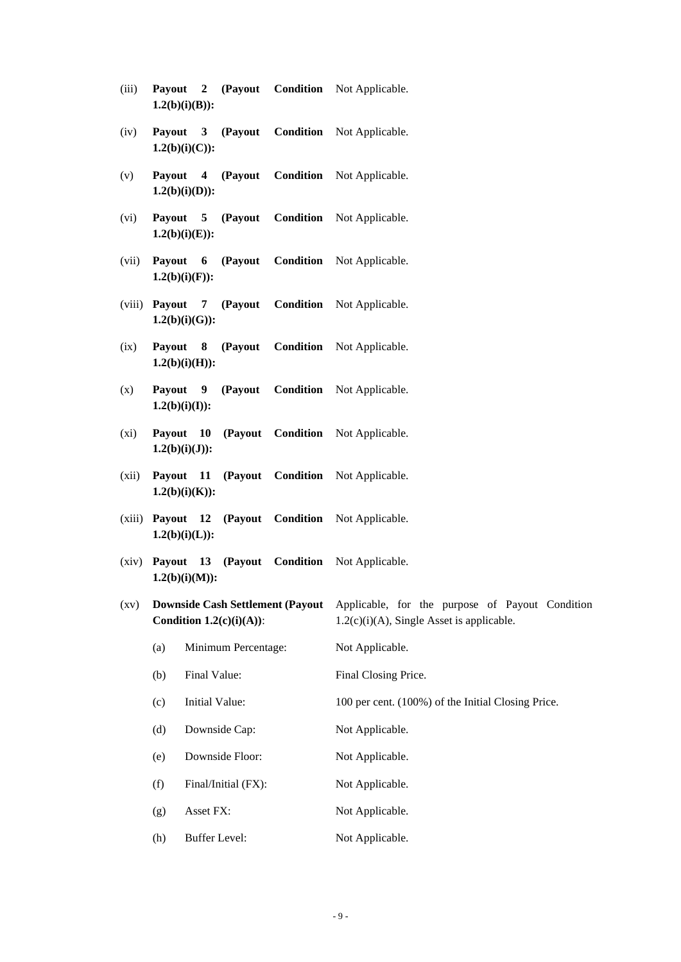- (iii) **Payout 2 (Payout Condition 1.2(b)(i)(B)):** Not Applicable.
- (iv) **Payout 3 (Payout Condition 1.2(b)(i)(C)):** Not Applicable.
- (v) **Payout 4 (Payout Condition 1.2(b)(i)(D)):** Not Applicable.
- (vi) **Payout 5 (Payout Condition 1.2(b)(i)(E)):** Not Applicable.
- (vii) **Payout 6 (Payout Condition 1.2(b)(i)(F)):** Not Applicable.
- (viii) **Payout 7 (Payout Condition 1.2(b)(i)(G)):** Not Applicable.
- (ix) **Payout 8 (Payout Condition 1.2(b)(i)(H)):** Not Applicable.
- (x) **Payout 9 (Payout Condition 1.2(b)(i)(I)):** Not Applicable.
- (xi) **Payout 10 (Payout Condition 1.2(b)(i)(J)):** Not Applicable.
- (xii) **Payout 11 (Payout Condition 1.2(b)(i)(K)):** Not Applicable.
- (xiii) **Payout 12 (Payout Condition 1.2(b)(i)(L)):** Not Applicable.
- (xiv) **Payout 13 (Payout Condition 1.2(b)(i)(M)):** Not Applicable.
- (xv) **Downside Cash Settlement (Payout Condition 1.2(c)(i)(A))**: Applicable, for the purpose of Payout Condition  $1.2(c)(i)(A)$ , Single Asset is applicable.
	- (a) Minimum Percentage: Not Applicable. (b) Final Value: Final Closing Price. (c) Initial Value: 100 per cent. (100%) of the Initial Closing Price. (d) Downside Cap: Not Applicable. (e) Downside Floor: Not Applicable. (f) Final/Initial (FX): Not Applicable. (g) Asset FX: Not Applicable. (h) Buffer Level: Not Applicable.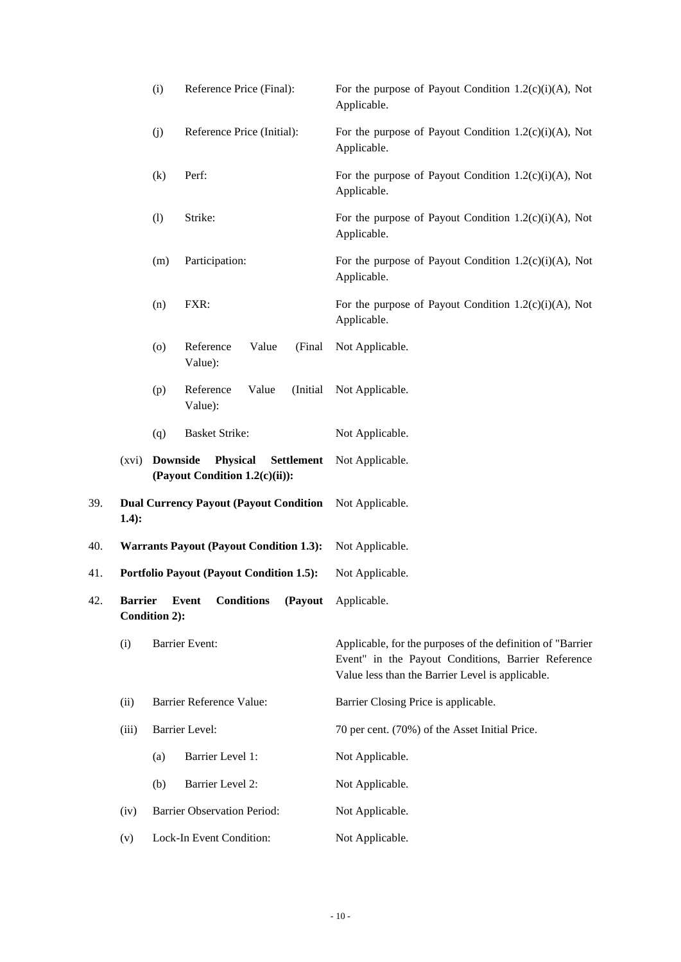|     | Reference Price (Final):<br>(i)<br>(j)<br>Reference Price (Initial): |                 |                                                                        | For the purpose of Payout Condition $1.2(c)(i)(A)$ , Not<br>Applicable.                                                                                              |
|-----|----------------------------------------------------------------------|-----------------|------------------------------------------------------------------------|----------------------------------------------------------------------------------------------------------------------------------------------------------------------|
|     |                                                                      |                 |                                                                        | For the purpose of Payout Condition $1.2(c)(i)(A)$ , Not<br>Applicable.                                                                                              |
|     |                                                                      | (k)             | Perf:                                                                  | For the purpose of Payout Condition $1.2(c)(i)(A)$ , Not<br>Applicable.                                                                                              |
|     |                                                                      | (1)             | Strike:                                                                | For the purpose of Payout Condition $1.2(c)(i)(A)$ , Not<br>Applicable.                                                                                              |
|     |                                                                      | (m)             | Participation:                                                         | For the purpose of Payout Condition $1.2(c)(i)(A)$ , Not<br>Applicable.                                                                                              |
|     |                                                                      | (n)             | FXR:                                                                   | For the purpose of Payout Condition $1.2(c)(i)(A)$ , Not<br>Applicable.                                                                                              |
|     |                                                                      | (0)             | Reference<br>Value<br>(Final<br>Value):                                | Not Applicable.                                                                                                                                                      |
|     |                                                                      | (p)             | Reference<br>Value<br>(Initial<br>Value):                              | Not Applicable.                                                                                                                                                      |
|     |                                                                      | (q)             | <b>Basket Strike:</b>                                                  | Not Applicable.                                                                                                                                                      |
|     | (xvi)                                                                | <b>Downside</b> | <b>Physical</b><br><b>Settlement</b><br>(Payout Condition 1.2(c)(ii)): | Not Applicable.                                                                                                                                                      |
| 39. | $1.4)$ :                                                             |                 | <b>Dual Currency Payout (Payout Condition</b>                          | Not Applicable.                                                                                                                                                      |
| 40. | <b>Warrants Payout (Payout Condition 1.3):</b>                       |                 |                                                                        | Not Applicable.                                                                                                                                                      |
| 41. | <b>Portfolio Payout (Payout Condition 1.5):</b>                      |                 |                                                                        | Not Applicable.                                                                                                                                                      |
| 42. | <b>Barrier</b>                                                       | Condition 2):   | <b>Conditions</b><br>(Payout<br><b>Event</b>                           | Applicable.                                                                                                                                                          |
|     | (i)                                                                  |                 | <b>Barrier Event:</b>                                                  | Applicable, for the purposes of the definition of "Barrier<br>Event" in the Payout Conditions, Barrier Reference<br>Value less than the Barrier Level is applicable. |
|     | (ii)                                                                 |                 | Barrier Reference Value:                                               | Barrier Closing Price is applicable.                                                                                                                                 |
|     | (iii)                                                                |                 | Barrier Level:                                                         | 70 per cent. (70%) of the Asset Initial Price.                                                                                                                       |
|     |                                                                      | (a)             | Barrier Level 1:                                                       | Not Applicable.                                                                                                                                                      |
|     |                                                                      | (b)             | Barrier Level 2:                                                       | Not Applicable.                                                                                                                                                      |
|     | (iv)                                                                 |                 | <b>Barrier Observation Period:</b>                                     | Not Applicable.                                                                                                                                                      |
|     | (v)                                                                  |                 | Lock-In Event Condition:                                               | Not Applicable.                                                                                                                                                      |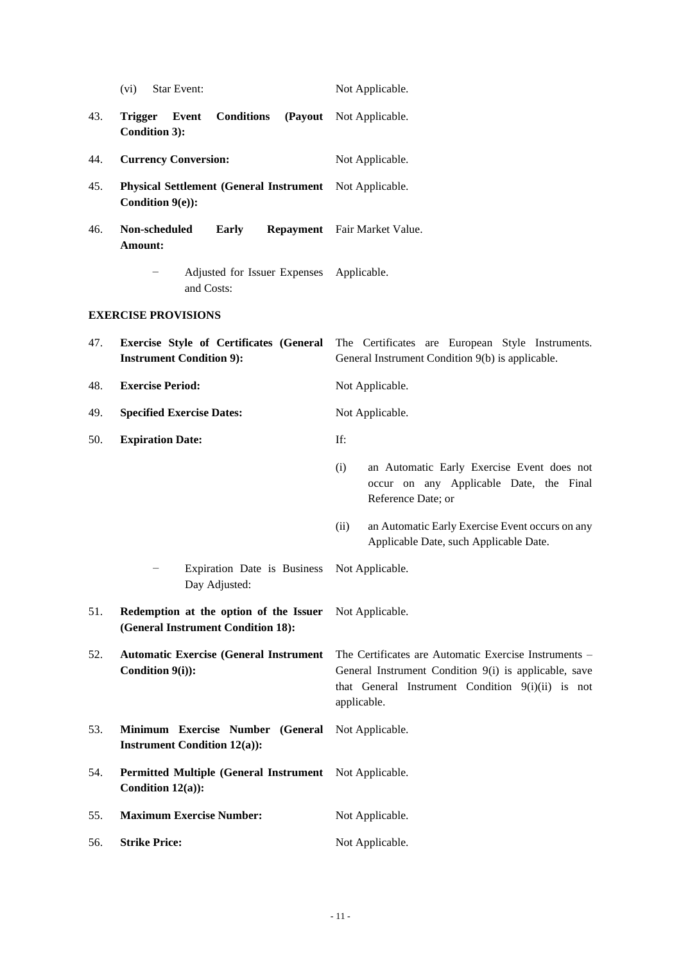|     | (vi)<br>Star Event:                                                             | Not Applicable.                                                                                                                                                                    |
|-----|---------------------------------------------------------------------------------|------------------------------------------------------------------------------------------------------------------------------------------------------------------------------------|
| 43. | <b>Conditions</b><br>(Payout<br><b>Trigger</b><br>Event<br><b>Condition 3):</b> | Not Applicable.                                                                                                                                                                    |
| 44. | <b>Currency Conversion:</b>                                                     | Not Applicable.                                                                                                                                                                    |
| 45. | Physical Settlement (General Instrument Not Applicable.<br>Condition 9(e)):     |                                                                                                                                                                                    |
| 46. | Non-scheduled<br><b>Early</b><br>Amount:                                        | Repayment Fair Market Value.                                                                                                                                                       |
|     | Adjusted for Issuer Expenses Applicable.<br>and Costs:                          |                                                                                                                                                                                    |
|     | <b>EXERCISE PROVISIONS</b>                                                      |                                                                                                                                                                                    |
| 47. | <b>Instrument Condition 9):</b>                                                 | <b>Exercise Style of Certificates (General</b> The Certificates are European Style Instruments.<br>General Instrument Condition 9(b) is applicable.                                |
| 48. | <b>Exercise Period:</b>                                                         | Not Applicable.                                                                                                                                                                    |
| 49. | <b>Specified Exercise Dates:</b>                                                | Not Applicable.                                                                                                                                                                    |
| 50. | <b>Expiration Date:</b>                                                         | If:                                                                                                                                                                                |
|     |                                                                                 | (i)<br>an Automatic Early Exercise Event does not<br>occur on any Applicable Date, the Final<br>Reference Date; or                                                                 |
|     |                                                                                 | an Automatic Early Exercise Event occurs on any<br>(ii)<br>Applicable Date, such Applicable Date.                                                                                  |
|     | Expiration Date is Business<br>Day Adjusted:                                    | Not Applicable.                                                                                                                                                                    |
| 51. | Redemption at the option of the Issuer<br>(General Instrument Condition 18):    | Not Applicable.                                                                                                                                                                    |
| 52. | <b>Automatic Exercise (General Instrument</b><br>Condition 9(i)):               | The Certificates are Automatic Exercise Instruments -<br>General Instrument Condition 9(i) is applicable, save<br>that General Instrument Condition 9(i)(ii) is not<br>applicable. |
| 53. | Minimum Exercise Number (General<br><b>Instrument Condition 12(a)):</b>         | Not Applicable.                                                                                                                                                                    |
| 54. | <b>Permitted Multiple (General Instrument</b><br>Condition $12(a)$ :            | Not Applicable.                                                                                                                                                                    |
| 55. | <b>Maximum Exercise Number:</b>                                                 | Not Applicable.                                                                                                                                                                    |
| 56. | <b>Strike Price:</b>                                                            | Not Applicable.                                                                                                                                                                    |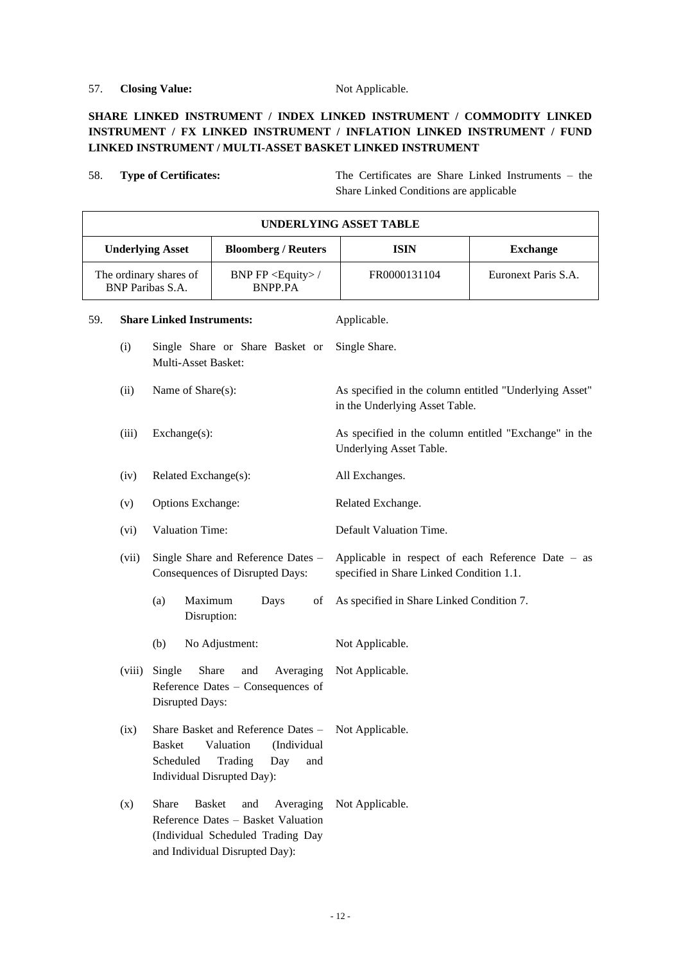## 57. **Closing Value:** Not Applicable.

## **SHARE LINKED INSTRUMENT / INDEX LINKED INSTRUMENT / COMMODITY LINKED INSTRUMENT / FX LINKED INSTRUMENT / INFLATION LINKED INSTRUMENT / FUND LINKED INSTRUMENT / MULTI-ASSET BASKET LINKED INSTRUMENT**

58. **Type of Certificates:** The Certificates are Share Linked Instruments – the Share Linked Conditions are applicable

|     | <b>UNDERLYING ASSET TABLE</b>                                                                                                                                               |                                  |                                                                                                                  |                                                                                               |                                           |                 |  |
|-----|-----------------------------------------------------------------------------------------------------------------------------------------------------------------------------|----------------------------------|------------------------------------------------------------------------------------------------------------------|-----------------------------------------------------------------------------------------------|-------------------------------------------|-----------------|--|
|     | <b>Underlying Asset</b><br><b>Bloomberg / Reuters</b>                                                                                                                       |                                  |                                                                                                                  |                                                                                               | <b>ISIN</b>                               | <b>Exchange</b> |  |
|     | BNP FP <equity>/<br/>The ordinary shares of<br/><b>BNP</b> Paribas S.A.<br/><b>BNPP.PA</b></equity>                                                                         |                                  | FR0000131104                                                                                                     | Euronext Paris S.A.                                                                           |                                           |                 |  |
| 59. |                                                                                                                                                                             | <b>Share Linked Instruments:</b> |                                                                                                                  |                                                                                               | Applicable.                               |                 |  |
|     | (i)<br>Single Share or Share Basket or<br>Multi-Asset Basket:                                                                                                               |                                  |                                                                                                                  | Single Share.                                                                                 |                                           |                 |  |
|     | Name of Share(s):<br>(ii)                                                                                                                                                   |                                  |                                                                                                                  | As specified in the column entitled "Underlying Asset"<br>in the Underlying Asset Table.      |                                           |                 |  |
|     | (iii)<br>Exchange(s):                                                                                                                                                       |                                  |                                                                                                                  | As specified in the column entitled "Exchange" in the<br>Underlying Asset Table.              |                                           |                 |  |
|     | Related Exchange(s):<br>(iv)                                                                                                                                                |                                  |                                                                                                                  |                                                                                               | All Exchanges.                            |                 |  |
|     | <b>Options Exchange:</b><br>(v)                                                                                                                                             |                                  |                                                                                                                  | Related Exchange.                                                                             |                                           |                 |  |
|     | Valuation Time:<br>(vi)                                                                                                                                                     |                                  |                                                                                                                  | Default Valuation Time.                                                                       |                                           |                 |  |
|     | (vii)<br>Single Share and Reference Dates -<br>Consequences of Disrupted Days:                                                                                              |                                  |                                                                                                                  | Applicable in respect of each Reference Date – as<br>specified in Share Linked Condition 1.1. |                                           |                 |  |
|     |                                                                                                                                                                             | Maximum<br>(a)<br>Disruption:    | Days                                                                                                             | of                                                                                            | As specified in Share Linked Condition 7. |                 |  |
|     |                                                                                                                                                                             | (b)                              | No Adjustment:                                                                                                   |                                                                                               | Not Applicable.                           |                 |  |
|     | Share<br>Single<br>(viii)<br>and<br>Averaging<br>Reference Dates - Consequences of<br>Disrupted Days:                                                                       |                                  |                                                                                                                  | Not Applicable.                                                                               |                                           |                 |  |
|     | Share Basket and Reference Dates - Not Applicable.<br>(ix)<br>Valuation<br>(Individual<br><b>Basket</b><br>Scheduled<br>Trading<br>Day<br>and<br>Individual Disrupted Day): |                                  |                                                                                                                  |                                                                                               |                                           |                 |  |
|     | (x)                                                                                                                                                                         | Share<br><b>Basket</b>           | and<br>Reference Dates - Basket Valuation<br>(Individual Scheduled Trading Day<br>and Individual Disrupted Day): | Averaging                                                                                     | Not Applicable.                           |                 |  |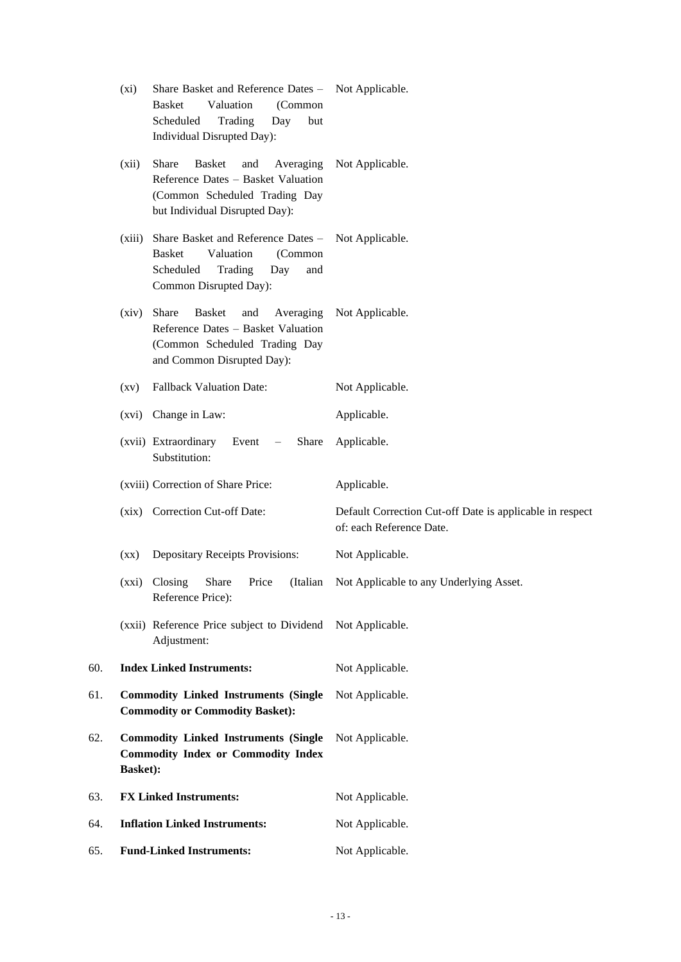|     | $(x_i)$                                                                                                      | Share Basket and Reference Dates -<br>Valuation<br><b>Basket</b><br>(Common<br>Scheduled<br>Trading<br>Day<br>but<br>Individual Disrupted Day):        | Not Applicable.                                                                      |
|-----|--------------------------------------------------------------------------------------------------------------|--------------------------------------------------------------------------------------------------------------------------------------------------------|--------------------------------------------------------------------------------------|
|     | (xii)                                                                                                        | Share<br><b>Basket</b><br>and<br>Averaging<br>Reference Dates - Basket Valuation<br>(Common Scheduled Trading Day<br>but Individual Disrupted Day):    | Not Applicable.                                                                      |
|     | (xiii)                                                                                                       | Share Basket and Reference Dates -<br>Valuation<br><b>Basket</b><br>(Common<br>Trading<br>Scheduled<br>Day<br>and<br>Common Disrupted Day):            | Not Applicable.                                                                      |
|     | (xiv)                                                                                                        | <b>Share</b><br><b>Basket</b><br>and<br>Averaging<br>Reference Dates - Basket Valuation<br>(Common Scheduled Trading Day<br>and Common Disrupted Day): | Not Applicable.                                                                      |
|     | $\left( xy\right)$                                                                                           | <b>Fallback Valuation Date:</b>                                                                                                                        | Not Applicable.                                                                      |
|     |                                                                                                              | (xvi) Change in Law:                                                                                                                                   | Applicable.                                                                          |
|     |                                                                                                              | (xvii) Extraordinary<br>Event<br>Share<br>$\overline{\phantom{m}}$<br>Substitution:                                                                    | Applicable.                                                                          |
|     |                                                                                                              | (xviii) Correction of Share Price:                                                                                                                     | Applicable.                                                                          |
|     |                                                                                                              | (xix) Correction Cut-off Date:                                                                                                                         | Default Correction Cut-off Date is applicable in respect<br>of: each Reference Date. |
|     | (xx)                                                                                                         | <b>Depositary Receipts Provisions:</b>                                                                                                                 | Not Applicable.                                                                      |
|     | (xxi)                                                                                                        | Share<br>Closing<br>Price<br>(Italian<br>Reference Price):                                                                                             | Not Applicable to any Underlying Asset.                                              |
|     |                                                                                                              | (xxii) Reference Price subject to Dividend Not Applicable.<br>Adjustment:                                                                              |                                                                                      |
| 60. |                                                                                                              | <b>Index Linked Instruments:</b>                                                                                                                       | Not Applicable.                                                                      |
| 61. |                                                                                                              | <b>Commodity Linked Instruments (Single</b><br><b>Commodity or Commodity Basket):</b>                                                                  | Not Applicable.                                                                      |
| 62. | <b>Commodity Linked Instruments (Single</b><br><b>Commodity Index or Commodity Index</b><br><b>Basket</b> ): |                                                                                                                                                        | Not Applicable.                                                                      |
| 63. |                                                                                                              | <b>FX Linked Instruments:</b>                                                                                                                          | Not Applicable.                                                                      |
| 64. |                                                                                                              | <b>Inflation Linked Instruments:</b>                                                                                                                   | Not Applicable.                                                                      |
| 65. | <b>Fund-Linked Instruments:</b>                                                                              |                                                                                                                                                        | Not Applicable.                                                                      |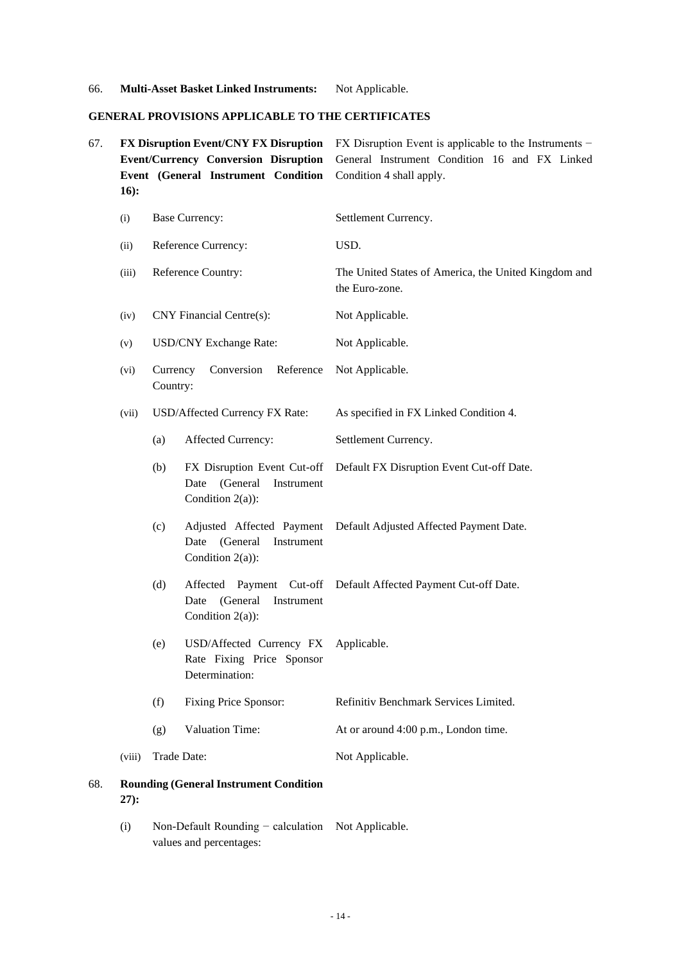66. **Multi-Asset Basket Linked Instruments:** Not Applicable.

#### **GENERAL PROVISIONS APPLICABLE TO THE CERTIFICATES**

- 67. **FX Disruption Event/CNY FX Disruption Event/Currency Conversion Disruption Event (General Instrument Condition 16):** FX Disruption Event is applicable to the Instruments − General Instrument Condition 16 and FX Linked Condition 4 shall apply. (i) Base Currency: Settlement Currency. (ii) Reference Currency: USD. (iii) Reference Country: The United States of America, the United Kingdom and the Euro-zone. (iv) CNY Financial Centre(s): Not Applicable. (v) USD/CNY Exchange Rate: Not Applicable. (vi) Currency Conversion Reference Country: Not Applicable. (vii) USD/Affected Currency FX Rate: As specified in FX Linked Condition 4. (a) Affected Currency: Settlement Currency. (b) FX Disruption Event Cut-off Date (General Instrument Condition 2(a)): Default FX Disruption Event Cut-off Date. (c) Adjusted Affected Payment Date (General Instrument Condition 2(a)): Default Adjusted Affected Payment Date. (d) Affected Payment Cut-off Default Affected Payment Cut-off Date. Date (General Instrument Condition 2(a)): (e) USD/Affected Currency FX Rate Fixing Price Sponsor Determination: Applicable.
	- (f) Fixing Price Sponsor: Refinitiv Benchmark Services Limited.
	- (g) Valuation Time: At or around 4:00 p.m., London time.

#### (viii) Trade Date: Not Applicable.

- 68. **Rounding (General Instrument Condition 27):**
	- (i) Non-Default Rounding − calculation Not Applicable.values and percentages: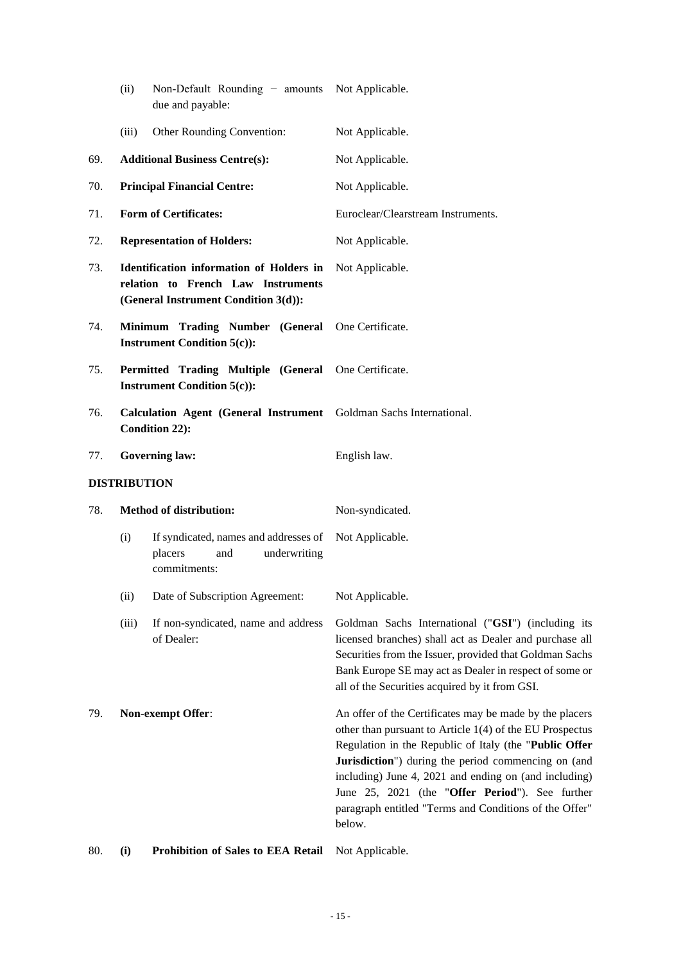|     | (ii)                                                                                        | Non-Default Rounding - amounts Not Applicable.<br>due and payable:                                                     |                                                                                                                                                                                                                                                                                                                                                                                                                      |  |  |
|-----|---------------------------------------------------------------------------------------------|------------------------------------------------------------------------------------------------------------------------|----------------------------------------------------------------------------------------------------------------------------------------------------------------------------------------------------------------------------------------------------------------------------------------------------------------------------------------------------------------------------------------------------------------------|--|--|
|     | (iii)                                                                                       | Other Rounding Convention:                                                                                             | Not Applicable.                                                                                                                                                                                                                                                                                                                                                                                                      |  |  |
| 69. | <b>Additional Business Centre(s):</b>                                                       |                                                                                                                        | Not Applicable.                                                                                                                                                                                                                                                                                                                                                                                                      |  |  |
| 70. |                                                                                             | <b>Principal Financial Centre:</b>                                                                                     | Not Applicable.                                                                                                                                                                                                                                                                                                                                                                                                      |  |  |
| 71. |                                                                                             | <b>Form of Certificates:</b>                                                                                           | Euroclear/Clearstream Instruments.                                                                                                                                                                                                                                                                                                                                                                                   |  |  |
| 72. |                                                                                             | <b>Representation of Holders:</b>                                                                                      | Not Applicable.                                                                                                                                                                                                                                                                                                                                                                                                      |  |  |
| 73. |                                                                                             | Identification information of Holders in<br>relation to French Law Instruments<br>(General Instrument Condition 3(d)): | Not Applicable.                                                                                                                                                                                                                                                                                                                                                                                                      |  |  |
| 74. |                                                                                             | Minimum Trading Number (General One Certificate.<br><b>Instrument Condition 5(c)):</b>                                 |                                                                                                                                                                                                                                                                                                                                                                                                                      |  |  |
| 75. | Permitted Trading Multiple (General One Certificate.<br><b>Instrument Condition 5(c)):</b>  |                                                                                                                        |                                                                                                                                                                                                                                                                                                                                                                                                                      |  |  |
| 76. | Calculation Agent (General Instrument Goldman Sachs International.<br><b>Condition 22):</b> |                                                                                                                        |                                                                                                                                                                                                                                                                                                                                                                                                                      |  |  |
| 77. |                                                                                             | <b>Governing law:</b>                                                                                                  | English law.                                                                                                                                                                                                                                                                                                                                                                                                         |  |  |
|     | <b>DISTRIBUTION</b>                                                                         |                                                                                                                        |                                                                                                                                                                                                                                                                                                                                                                                                                      |  |  |
| 78. |                                                                                             | <b>Method of distribution:</b>                                                                                         | Non-syndicated.                                                                                                                                                                                                                                                                                                                                                                                                      |  |  |
|     | (i)                                                                                         | If syndicated, names and addresses of<br>placers<br>underwriting<br>and<br>commitments:                                | Not Applicable.                                                                                                                                                                                                                                                                                                                                                                                                      |  |  |
|     | (ii)                                                                                        | Date of Subscription Agreement:                                                                                        | Not Applicable.                                                                                                                                                                                                                                                                                                                                                                                                      |  |  |
|     | (iii)                                                                                       | If non-syndicated, name and address<br>of Dealer:                                                                      | Goldman Sachs International ("GSI") (including its<br>licensed branches) shall act as Dealer and purchase all<br>Securities from the Issuer, provided that Goldman Sachs<br>Bank Europe SE may act as Dealer in respect of some or<br>all of the Securities acquired by it from GSI.                                                                                                                                 |  |  |
| 79. |                                                                                             | Non-exempt Offer:                                                                                                      | An offer of the Certificates may be made by the placers<br>other than pursuant to Article 1(4) of the EU Prospectus<br>Regulation in the Republic of Italy (the "Public Offer<br>Jurisdiction") during the period commencing on (and<br>including) June 4, 2021 and ending on (and including)<br>June 25, 2021 (the "Offer Period"). See further<br>paragraph entitled "Terms and Conditions of the Offer"<br>below. |  |  |

80. **(i) Prohibition of Sales to EEA Retail** Not Applicable.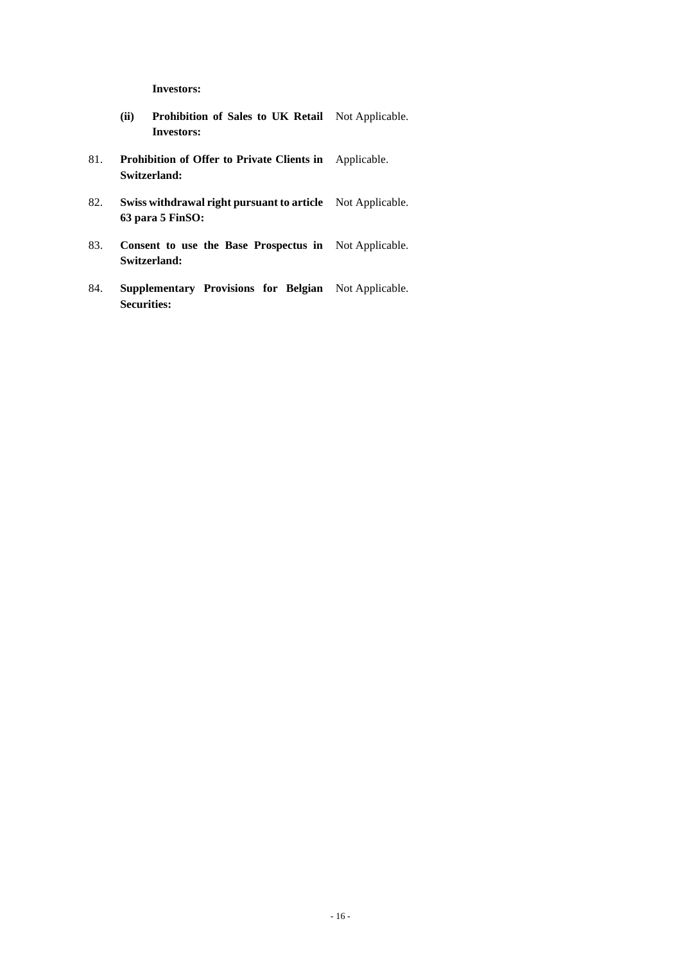**Investors:**

- **(ii) Prohibition of Sales to UK Retail**  Not Applicable. **Investors:**
- 81. **Prohibition of Offer to Private Clients in**  Applicable. **Switzerland:**
- 82. **Swiss withdrawal right pursuant to article**  Not Applicable. **63 para 5 FinSO:**
- 83. **Consent to use the Base Prospectus in**  Not Applicable. **Switzerland:**
- 84. **Supplementary Provisions for Belgian**  Not Applicable.**Securities:**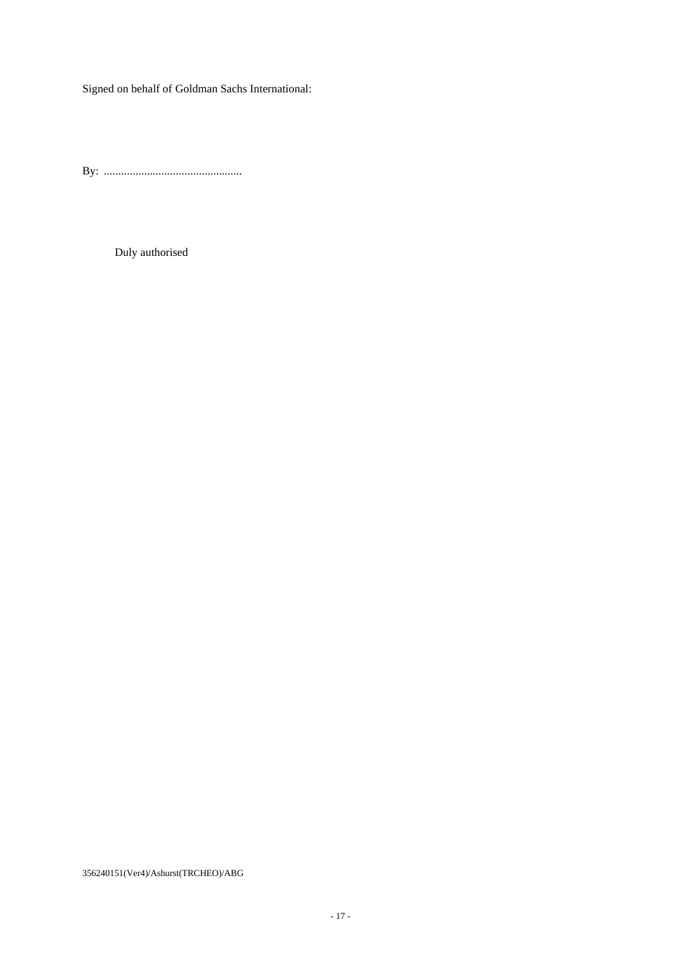Signed on behalf of Goldman Sachs International:

By: ................................................

Duly authorised

356240151(Ver4)/Ashurst(TRCHEO)/ABG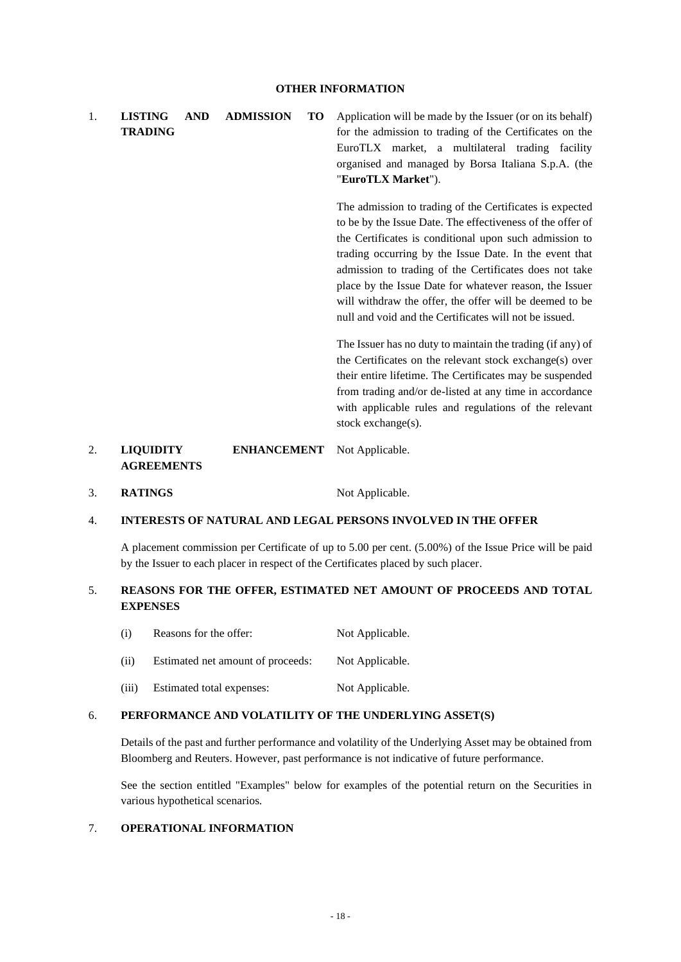1. **LISTING AND ADMISSION TO TRADING** Application will be made by the Issuer (or on its behalf) for the admission to trading of the Certificates on the EuroTLX market, a multilateral trading facility organised and managed by Borsa Italiana S.p.A. (the "**EuroTLX Market**").

> The admission to trading of the Certificates is expected to be by the Issue Date. The effectiveness of the offer of the Certificates is conditional upon such admission to trading occurring by the Issue Date. In the event that admission to trading of the Certificates does not take place by the Issue Date for whatever reason, the Issuer will withdraw the offer, the offer will be deemed to be null and void and the Certificates will not be issued.

> The Issuer has no duty to maintain the trading (if any) of the Certificates on the relevant stock exchange(s) over their entire lifetime. The Certificates may be suspended from trading and/or de-listed at any time in accordance with applicable rules and regulations of the relevant stock exchange(s).

#### 2. **LIQUIDITY ENHANCEMENT AGREEMENTS** Not Applicable.

3. **RATINGS** Not Applicable.

## 4. **INTERESTS OF NATURAL AND LEGAL PERSONS INVOLVED IN THE OFFER**

A placement commission per Certificate of up to 5.00 per cent. (5.00%) of the Issue Price will be paid by the Issuer to each placer in respect of the Certificates placed by such placer.

## 5. **REASONS FOR THE OFFER, ESTIMATED NET AMOUNT OF PROCEEDS AND TOTAL EXPENSES**

- (i) Reasons for the offer: Not Applicable.
- (ii) Estimated net amount of proceeds: Not Applicable.
- (iii) Estimated total expenses: Not Applicable.

#### 6. **PERFORMANCE AND VOLATILITY OF THE UNDERLYING ASSET(S)**

Details of the past and further performance and volatility of the Underlying Asset may be obtained from Bloomberg and Reuters. However, past performance is not indicative of future performance.

See the section entitled "Examples" below for examples of the potential return on the Securities in various hypothetical scenarios.

#### 7. **OPERATIONAL INFORMATION**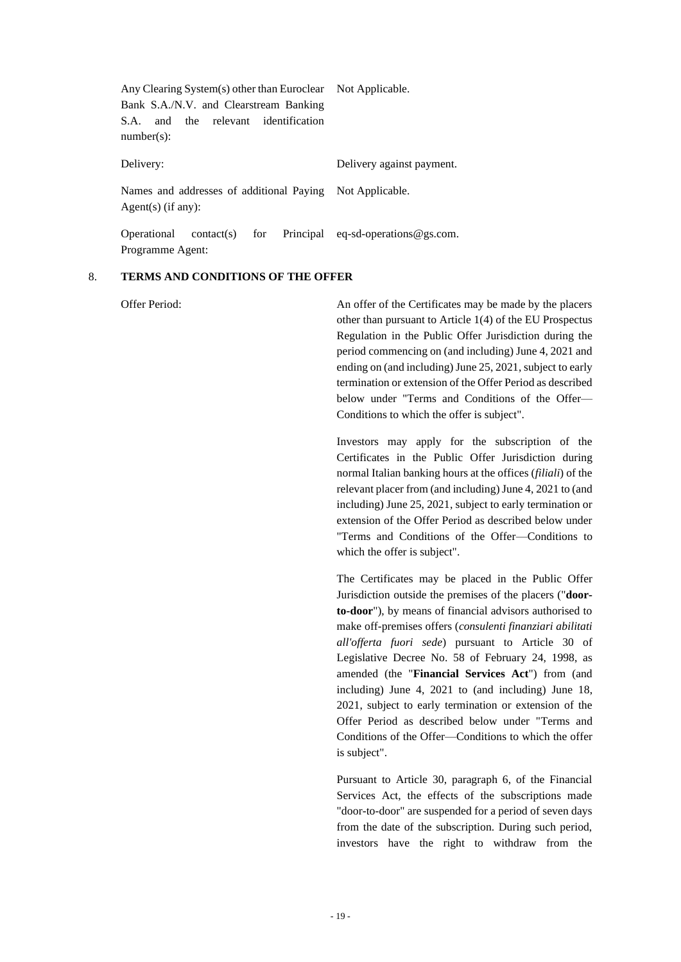| Any Clearing System(s) other than Euroclear Not Applicable.      |                           |
|------------------------------------------------------------------|---------------------------|
| Bank S.A./N.V. and Clearstream Banking                           |                           |
| and the relevant identification<br>S.A.                          |                           |
| $number(s)$ :                                                    |                           |
|                                                                  |                           |
| Delivery:                                                        | Delivery against payment. |
|                                                                  |                           |
| Names and addresses of additional Paying Not Applicable.         |                           |
| $Agent(s)$ (if any):                                             |                           |
|                                                                  |                           |
| contact(s) for Principal eq-sd-operations@gs.com.<br>Operational |                           |
| Programme Agent:                                                 |                           |

#### 8. **TERMS AND CONDITIONS OF THE OFFER**

Offer Period: An offer of the Certificates may be made by the placers other than pursuant to Article 1(4) of the EU Prospectus Regulation in the Public Offer Jurisdiction during the period commencing on (and including) June 4, 2021 and ending on (and including) June 25, 2021, subject to early termination or extension of the Offer Period as described below under "Terms and Conditions of the Offer— Conditions to which the offer is subject".

> Investors may apply for the subscription of the Certificates in the Public Offer Jurisdiction during normal Italian banking hours at the offices (*filiali*) of the relevant placer from (and including) June 4, 2021 to (and including) June 25, 2021, subject to early termination or extension of the Offer Period as described below under "Terms and Conditions of the Offer—Conditions to which the offer is subject".

> The Certificates may be placed in the Public Offer Jurisdiction outside the premises of the placers ("**doorto-door**"), by means of financial advisors authorised to make off-premises offers (*consulenti finanziari abilitati all'offerta fuori sede*) pursuant to Article 30 of Legislative Decree No. 58 of February 24, 1998, as amended (the "**Financial Services Act**") from (and including) June 4, 2021 to (and including) June 18, 2021, subject to early termination or extension of the Offer Period as described below under "Terms and Conditions of the Offer—Conditions to which the offer is subject".

> Pursuant to Article 30, paragraph 6, of the Financial Services Act, the effects of the subscriptions made "door-to-door" are suspended for a period of seven days from the date of the subscription. During such period, investors have the right to withdraw from the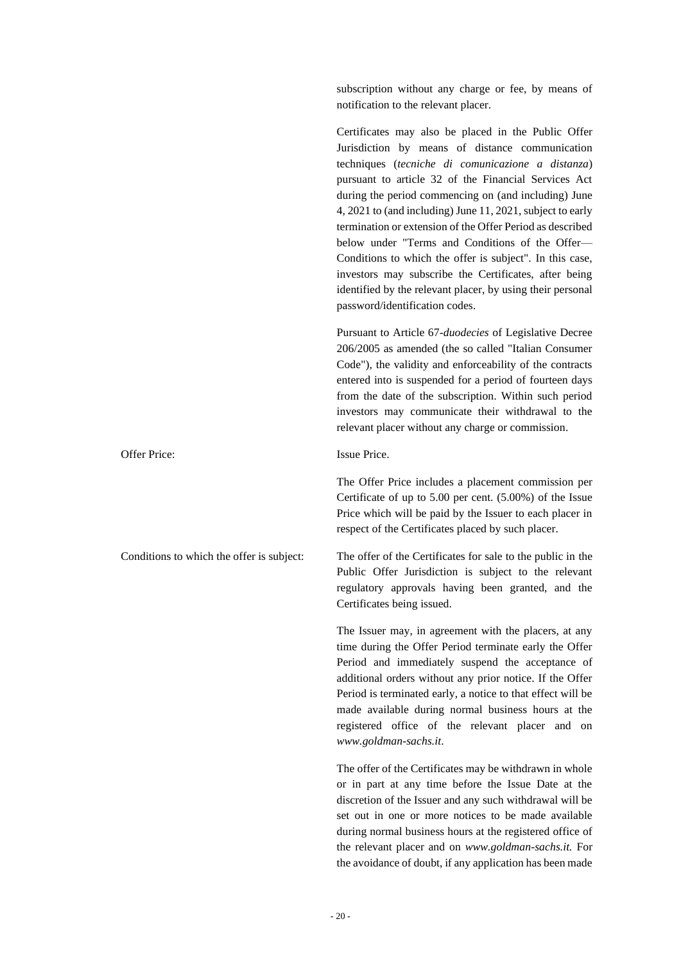subscription without any charge or fee, by means of notification to the relevant placer.

Certificates may also be placed in the Public Offer Jurisdiction by means of distance communication techniques (*tecniche di comunicazione a distanza*) pursuant to article 32 of the Financial Services Act during the period commencing on (and including) June 4, 2021 to (and including) June 11, 2021, subject to early termination or extension of the Offer Period as described below under "Terms and Conditions of the Offer— Conditions to which the offer is subject". In this case, investors may subscribe the Certificates, after being identified by the relevant placer, by using their personal password/identification codes.

Pursuant to Article 67-*duodecies* of Legislative Decree 206/2005 as amended (the so called "Italian Consumer Code"), the validity and enforceability of the contracts entered into is suspended for a period of fourteen days from the date of the subscription. Within such period investors may communicate their withdrawal to the relevant placer without any charge or commission.

Offer Price: Issue Price.

The Offer Price includes a placement commission per Certificate of up to 5.00 per cent. (5.00%) of the Issue Price which will be paid by the Issuer to each placer in respect of the Certificates placed by such placer.

Conditions to which the offer is subject: The offer of the Certificates for sale to the public in the Public Offer Jurisdiction is subject to the relevant regulatory approvals having been granted, and the Certificates being issued.

> The Issuer may, in agreement with the placers, at any time during the Offer Period terminate early the Offer Period and immediately suspend the acceptance of additional orders without any prior notice. If the Offer Period is terminated early, a notice to that effect will be made available during normal business hours at the registered office of the relevant placer and on *www.goldman-sachs.it*.

> The offer of the Certificates may be withdrawn in whole or in part at any time before the Issue Date at the discretion of the Issuer and any such withdrawal will be set out in one or more notices to be made available during normal business hours at the registered office of the relevant placer and on *[www.goldman-sachs.it.](http://www.goldman-sachs.it/)* For the avoidance of doubt, if any application has been made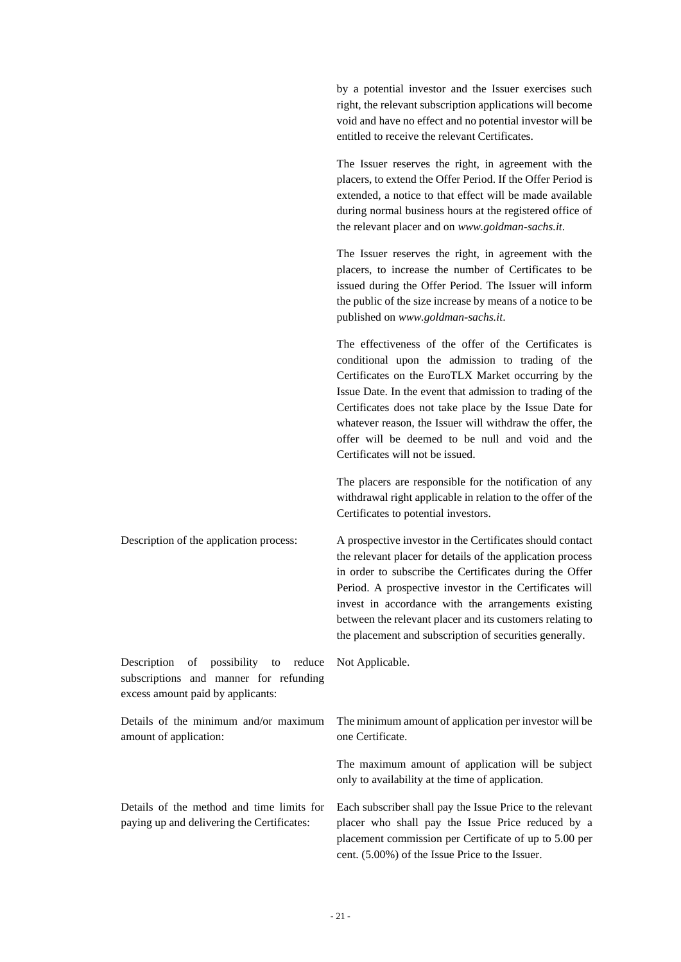by a potential investor and the Issuer exercises such right, the relevant subscription applications will become void and have no effect and no potential investor will be entitled to receive the relevant Certificates.

The Issuer reserves the right, in agreement with the placers, to extend the Offer Period. If the Offer Period is extended, a notice to that effect will be made available during normal business hours at the registered office of the relevant placer and on *www.goldman-sachs.it*.

The Issuer reserves the right, in agreement with the placers, to increase the number of Certificates to be issued during the Offer Period. The Issuer will inform the public of the size increase by means of a notice to be published on *www.goldman-sachs.it*.

The effectiveness of the offer of the Certificates is conditional upon the admission to trading of the Certificates on the EuroTLX Market occurring by the Issue Date. In the event that admission to trading of the Certificates does not take place by the Issue Date for whatever reason, the Issuer will withdraw the offer, the offer will be deemed to be null and void and the Certificates will not be issued.

The placers are responsible for the notification of any withdrawal right applicable in relation to the offer of the Certificates to potential investors.

Description of the application process: A prospective investor in the Certificates should contact the relevant placer for details of the application process in order to subscribe the Certificates during the Offer Period. A prospective investor in the Certificates will invest in accordance with the arrangements existing between the relevant placer and its customers relating to the placement and subscription of securities generally.

Description of possibility to reduce subscriptions and manner for refunding excess amount paid by applicants:

Details of the minimum and/or maximum amount of application:

Details of the method and time limits for paying up and delivering the Certificates:

The minimum amount of application per investor will be one Certificate.

The maximum amount of application will be subject only to availability at the time of application.

Each subscriber shall pay the Issue Price to the relevant placer who shall pay the Issue Price reduced by a placement commission per Certificate of up to 5.00 per cent. (5.00%) of the Issue Price to the Issuer.

Not Applicable.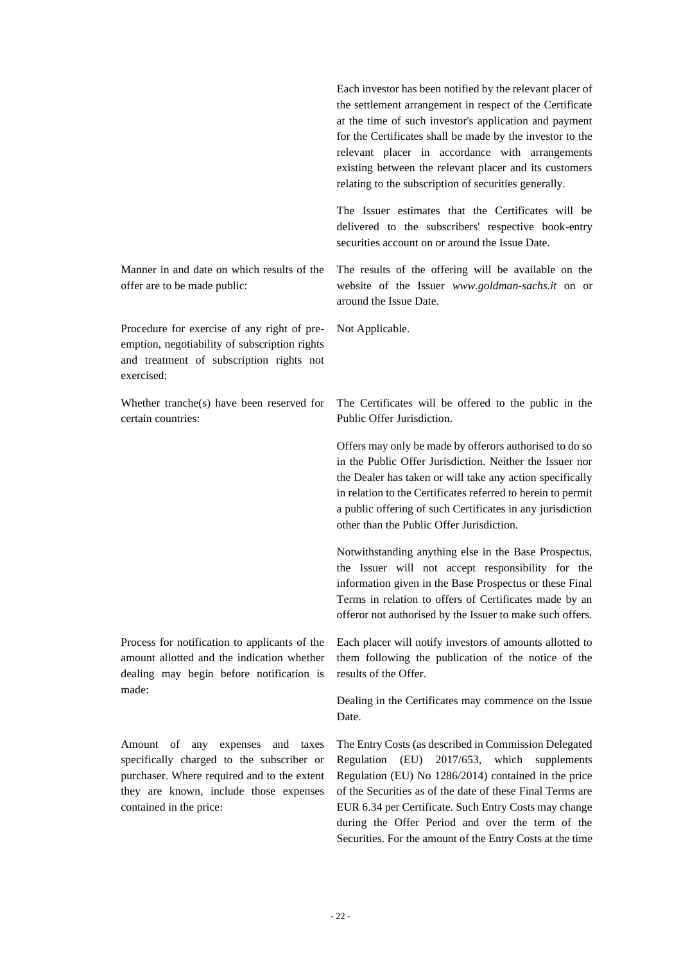|                                                                                                                                                        | Each investor has been notified by the relevant placer of<br>the settlement arrangement in respect of the Certificate<br>at the time of such investor's application and payment<br>for the Certificates shall be made by the investor to the<br>relevant placer in accordance with arrangements<br>existing between the relevant placer and its customers<br>relating to the subscription of securities generally. |
|--------------------------------------------------------------------------------------------------------------------------------------------------------|--------------------------------------------------------------------------------------------------------------------------------------------------------------------------------------------------------------------------------------------------------------------------------------------------------------------------------------------------------------------------------------------------------------------|
|                                                                                                                                                        | The Issuer estimates that the Certificates will be<br>delivered to the subscribers' respective book-entry<br>securities account on or around the Issue Date.                                                                                                                                                                                                                                                       |
| Manner in and date on which results of the<br>offer are to be made public:                                                                             | The results of the offering will be available on the<br>website of the Issuer www.goldman-sachs.it on or<br>around the Issue Date.                                                                                                                                                                                                                                                                                 |
| Procedure for exercise of any right of pre-<br>emption, negotiability of subscription rights<br>and treatment of subscription rights not<br>exercised: | Not Applicable.                                                                                                                                                                                                                                                                                                                                                                                                    |
| Whether tranche(s) have been reserved for<br>certain countries:                                                                                        | The Certificates will be offered to the public in the<br>Public Offer Jurisdiction.                                                                                                                                                                                                                                                                                                                                |
|                                                                                                                                                        | Offers may only be made by offerors authorised to do so<br>in the Public Offer Jurisdiction. Neither the Issuer nor<br>the Dealer has taken or will take any action specifically<br>in relation to the Certificates referred to herein to permit<br>a public offering of such Certificates in any jurisdiction<br>other than the Public Offer Jurisdiction.                                                        |
|                                                                                                                                                        | Notwithstanding anything else in the Base Prospectus,<br>the Issuer will not accept responsibility for the<br>information given in the Base Prospectus or these Final<br>Terms in relation to offers of Certificates made by an<br>offeror not authorised by the Issuer to make such offers.                                                                                                                       |
| Process for notification to applicants of the<br>amount allotted and the indication whether<br>dealing may begin before notification is                | Each placer will notify investors of amounts allotted to<br>them following the publication of the notice of the<br>results of the Offer.                                                                                                                                                                                                                                                                           |
| made:                                                                                                                                                  | Dealing in the Certificates may commence on the Issue<br>Date.                                                                                                                                                                                                                                                                                                                                                     |
| Amount<br>- of<br>any<br>expenses<br>and<br>taxes<br>specifically charged to the subscriber or<br>purchaser. Where required and to the extent          | The Entry Costs (as described in Commission Delegated<br>Regulation<br>(EU)<br>2017/653,<br>which<br>supplements<br>Regulation (EU) No 1286/2014) contained in the price                                                                                                                                                                                                                                           |

they are known, include those expenses contained in the price:

of the Securities as of the date of these Final Terms are EUR 6.34 per Certificate. Such Entry Costs may change during the Offer Period and over the term of the Securities. For the amount of the Entry Costs at the time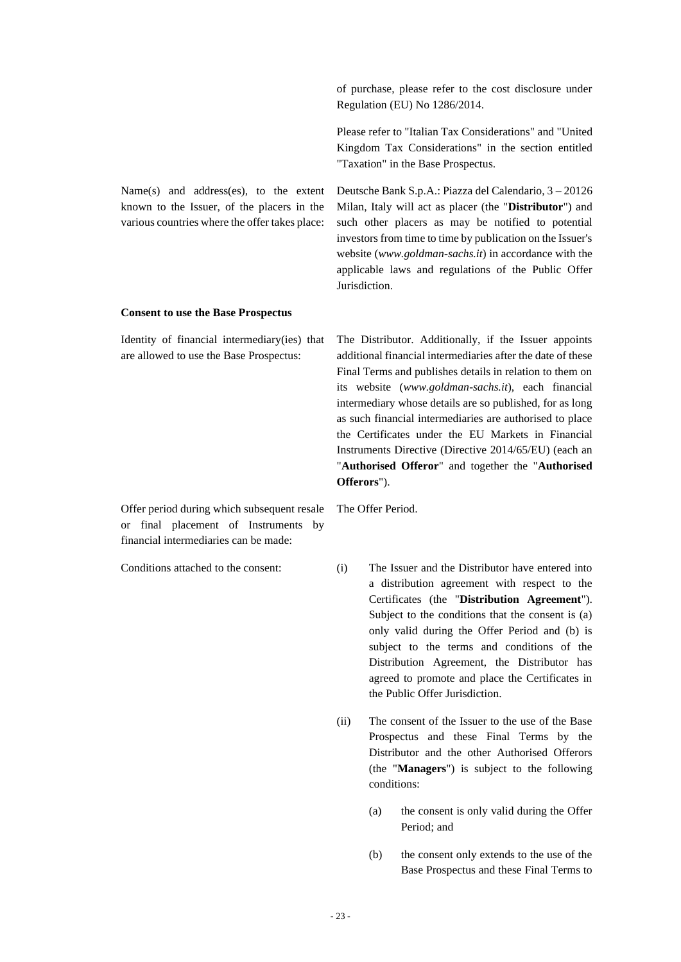|                                                                                                                                        | of purchase, please refer to the cost disclosure under<br>Regulation (EU) No 1286/2014.                                                                                                                                                                                                                                                                                                                                                                                                                                                           |  |  |
|----------------------------------------------------------------------------------------------------------------------------------------|---------------------------------------------------------------------------------------------------------------------------------------------------------------------------------------------------------------------------------------------------------------------------------------------------------------------------------------------------------------------------------------------------------------------------------------------------------------------------------------------------------------------------------------------------|--|--|
|                                                                                                                                        | Please refer to "Italian Tax Considerations" and "United<br>Kingdom Tax Considerations" in the section entitled<br>"Taxation" in the Base Prospectus.                                                                                                                                                                                                                                                                                                                                                                                             |  |  |
| Name(s) and address(es), to the extent<br>known to the Issuer, of the placers in the<br>various countries where the offer takes place: | Deutsche Bank S.p.A.: Piazza del Calendario, 3 - 20126<br>Milan, Italy will act as placer (the "Distributor") and<br>such other placers as may be notified to potential<br>investors from time to time by publication on the Issuer's<br>website (www.goldman-sachs.it) in accordance with the<br>applicable laws and regulations of the Public Offer<br>Jurisdiction.                                                                                                                                                                            |  |  |
| <b>Consent to use the Base Prospectus</b>                                                                                              |                                                                                                                                                                                                                                                                                                                                                                                                                                                                                                                                                   |  |  |
| Identity of financial intermediary(ies) that<br>are allowed to use the Base Prospectus:                                                | The Distributor. Additionally, if the Issuer appoints<br>additional financial intermediaries after the date of these<br>Final Terms and publishes details in relation to them on<br>its website (www.goldman-sachs.it), each financial<br>intermediary whose details are so published, for as long<br>as such financial intermediaries are authorised to place<br>the Certificates under the EU Markets in Financial<br>Instruments Directive (Directive 2014/65/EU) (each an<br>"Authorised Offeror" and together the "Authorised<br>Offerors"). |  |  |
| Offer period during which subsequent resale<br>or final placement of Instruments<br>by<br>financial intermediaries can be made:        | The Offer Period.                                                                                                                                                                                                                                                                                                                                                                                                                                                                                                                                 |  |  |
| Conditions attached to the consent:                                                                                                    | (i)<br>The Issuer and the Distributor have entered into<br>a distribution agreement with respect to the<br>Certificates (the "Distribution Agreement").<br>Subject to the conditions that the consent is (a)<br>only valid during the Offer Period and (b) is<br>subject to the terms and conditions of the<br>Distribution Agreement, the Distributor has                                                                                                                                                                                        |  |  |

(ii) The consent of the Issuer to the use of the Base Prospectus and these Final Terms by the Distributor and the other Authorised Offerors (the "**Managers**") is subject to the following conditions:

the Public Offer Jurisdiction.

agreed to promote and place the Certificates in

- (a) the consent is only valid during the Offer Period; and
- (b) the consent only extends to the use of the Base Prospectus and these Final Terms to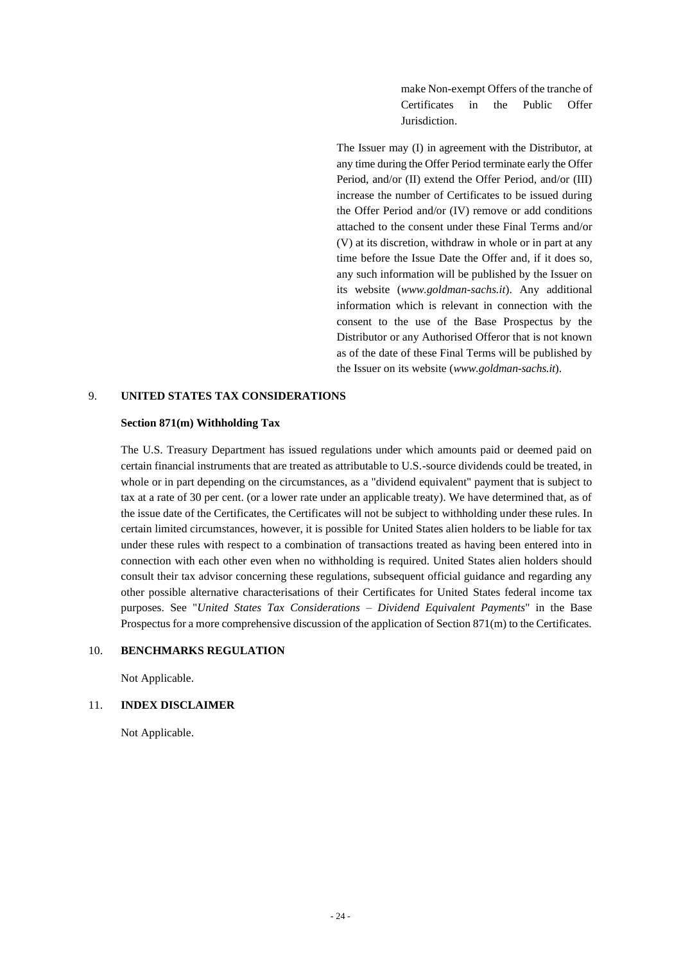make Non-exempt Offers of the tranche of Certificates in the Public Offer Jurisdiction.

The Issuer may (I) in agreement with the Distributor, at any time during the Offer Period terminate early the Offer Period, and/or (II) extend the Offer Period, and/or (III) increase the number of Certificates to be issued during the Offer Period and/or (IV) remove or add conditions attached to the consent under these Final Terms and/or (V) at its discretion, withdraw in whole or in part at any time before the Issue Date the Offer and, if it does so, any such information will be published by the Issuer on its website (*www.goldman-sachs.it*). Any additional information which is relevant in connection with the consent to the use of the Base Prospectus by the Distributor or any Authorised Offeror that is not known as of the date of these Final Terms will be published by the Issuer on its website (*www.goldman-sachs.it*).

#### 9. **UNITED STATES TAX CONSIDERATIONS**

#### **Section 871(m) Withholding Tax**

The U.S. Treasury Department has issued regulations under which amounts paid or deemed paid on certain financial instruments that are treated as attributable to U.S.-source dividends could be treated, in whole or in part depending on the circumstances, as a "dividend equivalent" payment that is subject to tax at a rate of 30 per cent. (or a lower rate under an applicable treaty). We have determined that, as of the issue date of the Certificates, the Certificates will not be subject to withholding under these rules. In certain limited circumstances, however, it is possible for United States alien holders to be liable for tax under these rules with respect to a combination of transactions treated as having been entered into in connection with each other even when no withholding is required. United States alien holders should consult their tax advisor concerning these regulations, subsequent official guidance and regarding any other possible alternative characterisations of their Certificates for United States federal income tax purposes. See "*United States Tax Considerations – Dividend Equivalent Payments*" in the Base Prospectus for a more comprehensive discussion of the application of Section 871(m) to the Certificates.

### 10. **BENCHMARKS REGULATION**

Not Applicable.

#### 11. **INDEX DISCLAIMER**

Not Applicable.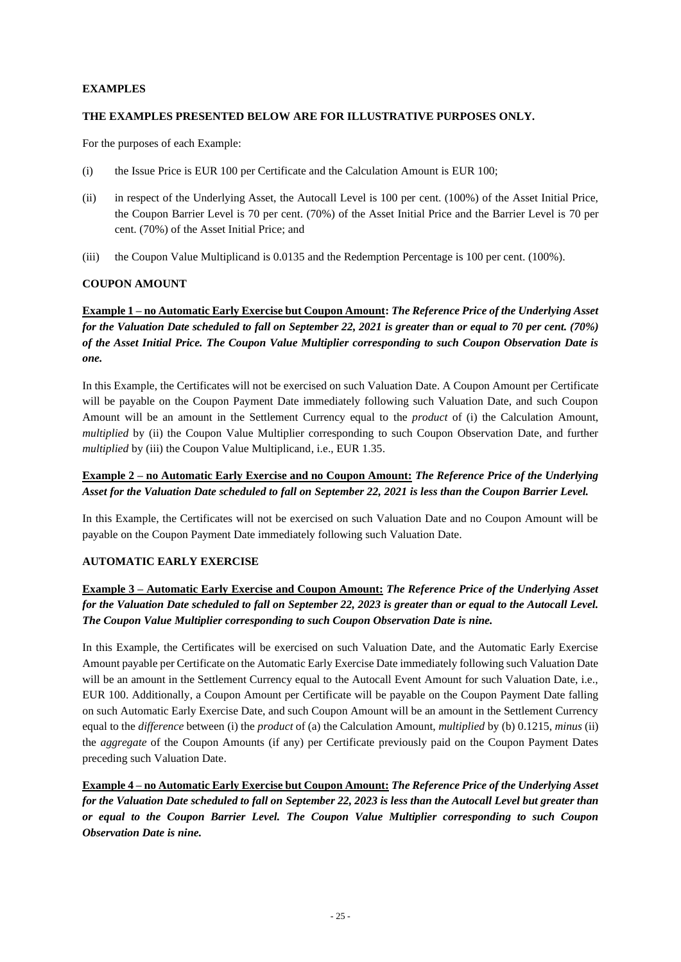## **EXAMPLES**

## **THE EXAMPLES PRESENTED BELOW ARE FOR ILLUSTRATIVE PURPOSES ONLY.**

For the purposes of each Example:

- (i) the Issue Price is EUR 100 per Certificate and the Calculation Amount is EUR 100;
- (ii) in respect of the Underlying Asset, the Autocall Level is 100 per cent. (100%) of the Asset Initial Price, the Coupon Barrier Level is 70 per cent. (70%) of the Asset Initial Price and the Barrier Level is 70 per cent. (70%) of the Asset Initial Price; and
- (iii) the Coupon Value Multiplicand is 0.0135 and the Redemption Percentage is 100 per cent. (100%).

## **COUPON AMOUNT**

**Example 1 – no Automatic Early Exercise but Coupon Amount:** *The Reference Price of the Underlying Asset for the Valuation Date scheduled to fall on September 22, 2021 is greater than or equal to 70 per cent. (70%) of the Asset Initial Price. The Coupon Value Multiplier corresponding to such Coupon Observation Date is one.*

In this Example, the Certificates will not be exercised on such Valuation Date. A Coupon Amount per Certificate will be payable on the Coupon Payment Date immediately following such Valuation Date, and such Coupon Amount will be an amount in the Settlement Currency equal to the *product* of (i) the Calculation Amount, *multiplied* by (ii) the Coupon Value Multiplier corresponding to such Coupon Observation Date, and further *multiplied* by (iii) the Coupon Value Multiplicand, i.e., EUR 1.35.

## **Example 2 – no Automatic Early Exercise and no Coupon Amount:** *The Reference Price of the Underlying Asset for the Valuation Date scheduled to fall on September 22, 2021 is less than the Coupon Barrier Level.*

In this Example, the Certificates will not be exercised on such Valuation Date and no Coupon Amount will be payable on the Coupon Payment Date immediately following such Valuation Date.

### **AUTOMATIC EARLY EXERCISE**

## **Example 3 – Automatic Early Exercise and Coupon Amount:** *The Reference Price of the Underlying Asset for the Valuation Date scheduled to fall on September 22, 2023 is greater than or equal to the Autocall Level. The Coupon Value Multiplier corresponding to such Coupon Observation Date is nine.*

In this Example, the Certificates will be exercised on such Valuation Date, and the Automatic Early Exercise Amount payable per Certificate on the Automatic Early Exercise Date immediately following such Valuation Date will be an amount in the Settlement Currency equal to the Autocall Event Amount for such Valuation Date, i.e., EUR 100. Additionally, a Coupon Amount per Certificate will be payable on the Coupon Payment Date falling on such Automatic Early Exercise Date, and such Coupon Amount will be an amount in the Settlement Currency equal to the *difference* between (i) the *product* of (a) the Calculation Amount, *multiplied* by (b) 0.1215, *minus* (ii) the *aggregate* of the Coupon Amounts (if any) per Certificate previously paid on the Coupon Payment Dates preceding such Valuation Date.

**Example 4 – no Automatic Early Exercise but Coupon Amount:** *The Reference Price of the Underlying Asset for the Valuation Date scheduled to fall on September 22, 2023 is less than the Autocall Level but greater than or equal to the Coupon Barrier Level. The Coupon Value Multiplier corresponding to such Coupon Observation Date is nine.*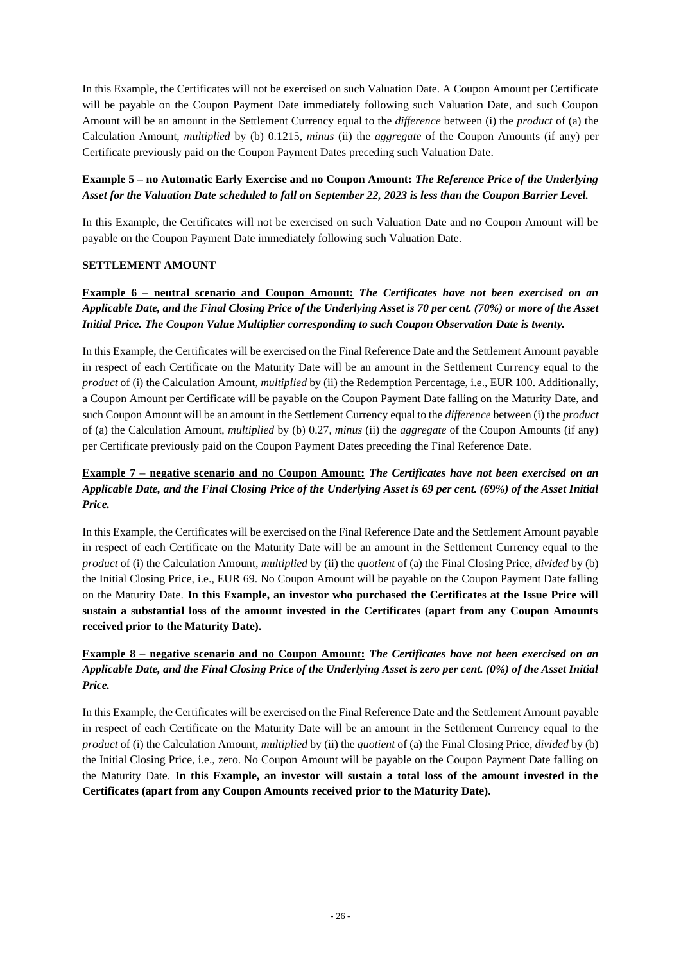In this Example, the Certificates will not be exercised on such Valuation Date. A Coupon Amount per Certificate will be payable on the Coupon Payment Date immediately following such Valuation Date, and such Coupon Amount will be an amount in the Settlement Currency equal to the *difference* between (i) the *product* of (a) the Calculation Amount, *multiplied* by (b) 0.1215, *minus* (ii) the *aggregate* of the Coupon Amounts (if any) per Certificate previously paid on the Coupon Payment Dates preceding such Valuation Date.

## **Example 5 – no Automatic Early Exercise and no Coupon Amount:** *The Reference Price of the Underlying Asset for the Valuation Date scheduled to fall on September 22, 2023 is less than the Coupon Barrier Level.*

In this Example, the Certificates will not be exercised on such Valuation Date and no Coupon Amount will be payable on the Coupon Payment Date immediately following such Valuation Date.

## **SETTLEMENT AMOUNT**

## **Example 6 – neutral scenario and Coupon Amount:** *The Certificates have not been exercised on an Applicable Date, and the Final Closing Price of the Underlying Asset is 70 per cent. (70%) or more of the Asset Initial Price. The Coupon Value Multiplier corresponding to such Coupon Observation Date is twenty.*

In this Example, the Certificates will be exercised on the Final Reference Date and the Settlement Amount payable in respect of each Certificate on the Maturity Date will be an amount in the Settlement Currency equal to the *product* of (i) the Calculation Amount, *multiplied* by (ii) the Redemption Percentage, i.e., EUR 100. Additionally, a Coupon Amount per Certificate will be payable on the Coupon Payment Date falling on the Maturity Date, and such Coupon Amount will be an amount in the Settlement Currency equal to the *difference* between (i) the *product* of (a) the Calculation Amount, *multiplied* by (b) 0.27, *minus* (ii) the *aggregate* of the Coupon Amounts (if any) per Certificate previously paid on the Coupon Payment Dates preceding the Final Reference Date.

## **Example 7 – negative scenario and no Coupon Amount:** *The Certificates have not been exercised on an Applicable Date, and the Final Closing Price of the Underlying Asset is 69 per cent. (69%) of the Asset Initial Price.*

In this Example, the Certificates will be exercised on the Final Reference Date and the Settlement Amount payable in respect of each Certificate on the Maturity Date will be an amount in the Settlement Currency equal to the *product* of (i) the Calculation Amount, *multiplied* by (ii) the *quotient* of (a) the Final Closing Price, *divided* by (b) the Initial Closing Price, i.e., EUR 69. No Coupon Amount will be payable on the Coupon Payment Date falling on the Maturity Date. **In this Example, an investor who purchased the Certificates at the Issue Price will sustain a substantial loss of the amount invested in the Certificates (apart from any Coupon Amounts received prior to the Maturity Date).**

## **Example 8 – negative scenario and no Coupon Amount:** *The Certificates have not been exercised on an Applicable Date, and the Final Closing Price of the Underlying Asset is zero per cent. (0%) of the Asset Initial Price.*

In this Example, the Certificates will be exercised on the Final Reference Date and the Settlement Amount payable in respect of each Certificate on the Maturity Date will be an amount in the Settlement Currency equal to the *product* of (i) the Calculation Amount, *multiplied* by (ii) the *quotient* of (a) the Final Closing Price, *divided* by (b) the Initial Closing Price, i.e., zero. No Coupon Amount will be payable on the Coupon Payment Date falling on the Maturity Date. **In this Example, an investor will sustain a total loss of the amount invested in the Certificates (apart from any Coupon Amounts received prior to the Maturity Date).**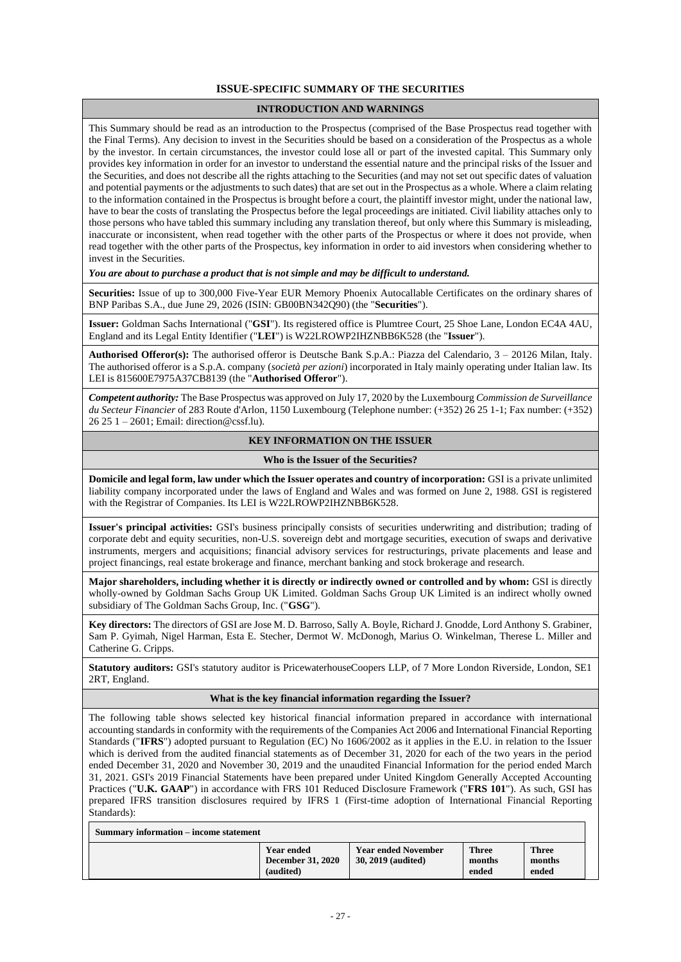#### **ISSUE-SPECIFIC SUMMARY OF THE SECURITIES**

#### **INTRODUCTION AND WARNINGS**

This Summary should be read as an introduction to the Prospectus (comprised of the Base Prospectus read together with the Final Terms). Any decision to invest in the Securities should be based on a consideration of the Prospectus as a whole by the investor. In certain circumstances, the investor could lose all or part of the invested capital. This Summary only provides key information in order for an investor to understand the essential nature and the principal risks of the Issuer and the Securities, and does not describe all the rights attaching to the Securities (and may not set out specific dates of valuation and potential payments or the adjustments to such dates) that are set out in the Prospectus as a whole. Where a claim relating to the information contained in the Prospectus is brought before a court, the plaintiff investor might, under the national law, have to bear the costs of translating the Prospectus before the legal proceedings are initiated. Civil liability attaches only to those persons who have tabled this summary including any translation thereof, but only where this Summary is misleading, inaccurate or inconsistent, when read together with the other parts of the Prospectus or where it does not provide, when read together with the other parts of the Prospectus, key information in order to aid investors when considering whether to invest in the Securities.

*You are about to purchase a product that is not simple and may be difficult to understand.*

**Securities:** Issue of up to 300,000 Five-Year EUR Memory Phoenix Autocallable Certificates on the ordinary shares of BNP Paribas S.A., due June 29, 2026 (ISIN: GB00BN342Q90) (the "**Securities**").

**Issuer:** Goldman Sachs International ("**GSI**"). Its registered office is Plumtree Court, 25 Shoe Lane, London EC4A 4AU, England and its Legal Entity Identifier ("**LEI**") is W22LROWP2IHZNBB6K528 (the "**Issuer**").

**Authorised Offeror(s):** The authorised offeror is Deutsche Bank S.p.A.: Piazza del Calendario, 3 – 20126 Milan, Italy. The authorised offeror is a S.p.A. company (*società per azioni*) incorporated in Italy mainly operating under Italian law. Its LEI is 815600E7975A37CB8139 (the "**Authorised Offeror**").

*Competent authority:* The Base Prospectus was approved on July 17, 2020 by the Luxembourg *Commission de Surveillance du Secteur Financier* of 283 Route d'Arlon, 1150 Luxembourg (Telephone number: (+352) 26 25 1-1; Fax number: (+352) 26 25 1 – 2601; Email: direction@cssf.lu).

#### **KEY INFORMATION ON THE ISSUER**

#### **Who is the Issuer of the Securities?**

**Domicile and legal form, law under which the Issuer operates and country of incorporation:** GSI is a private unlimited liability company incorporated under the laws of England and Wales and was formed on June 2, 1988. GSI is registered with the Registrar of Companies. Its LEI is W22LROWP2IHZNBB6K528.

**Issuer's principal activities:** GSI's business principally consists of securities underwriting and distribution; trading of corporate debt and equity securities, non-U.S. sovereign debt and mortgage securities, execution of swaps and derivative instruments, mergers and acquisitions; financial advisory services for restructurings, private placements and lease and project financings, real estate brokerage and finance, merchant banking and stock brokerage and research.

**Major shareholders, including whether it is directly or indirectly owned or controlled and by whom:** GSI is directly wholly-owned by Goldman Sachs Group UK Limited. Goldman Sachs Group UK Limited is an indirect wholly owned subsidiary of The Goldman Sachs Group, Inc. ("**GSG**").

**Key directors:** The directors of GSI are Jose M. D. Barroso, Sally A. Boyle, Richard J. Gnodde, Lord Anthony S. Grabiner, Sam P. Gyimah, Nigel Harman, Esta E. Stecher, Dermot W. McDonogh, Marius O. Winkelman, Therese L. Miller and Catherine G. Cripps.

**Statutory auditors:** GSI's statutory auditor is PricewaterhouseCoopers LLP, of 7 More London Riverside, London, SE1 2RT, England.

#### **What is the key financial information regarding the Issuer?**

The following table shows selected key historical financial information prepared in accordance with international accounting standards in conformity with the requirements of the Companies Act 2006 and International Financial Reporting Standards ("**IFRS**") adopted pursuant to Regulation (EC) No 1606/2002 as it applies in the E.U. in relation to the Issuer which is derived from the audited financial statements as of December 31, 2020 for each of the two years in the period ended December 31, 2020 and November 30, 2019 and the unaudited Financial Information for the period ended March 31, 2021. GSI's 2019 Financial Statements have been prepared under United Kingdom Generally Accepted Accounting Practices ("**U.K. GAAP**") in accordance with FRS 101 Reduced Disclosure Framework ("**FRS 101**"). As such, GSI has prepared IFRS transition disclosures required by IFRS 1 (First-time adoption of International Financial Reporting Standards):

| Summary information – income statement |                                                     |                                                  |                                 |                                 |  |
|----------------------------------------|-----------------------------------------------------|--------------------------------------------------|---------------------------------|---------------------------------|--|
|                                        | <b>Year ended</b><br>December 31, 2020<br>(audited) | <b>Year ended November</b><br>30, 2019 (audited) | <b>Three</b><br>months<br>ended | <b>Three</b><br>months<br>ended |  |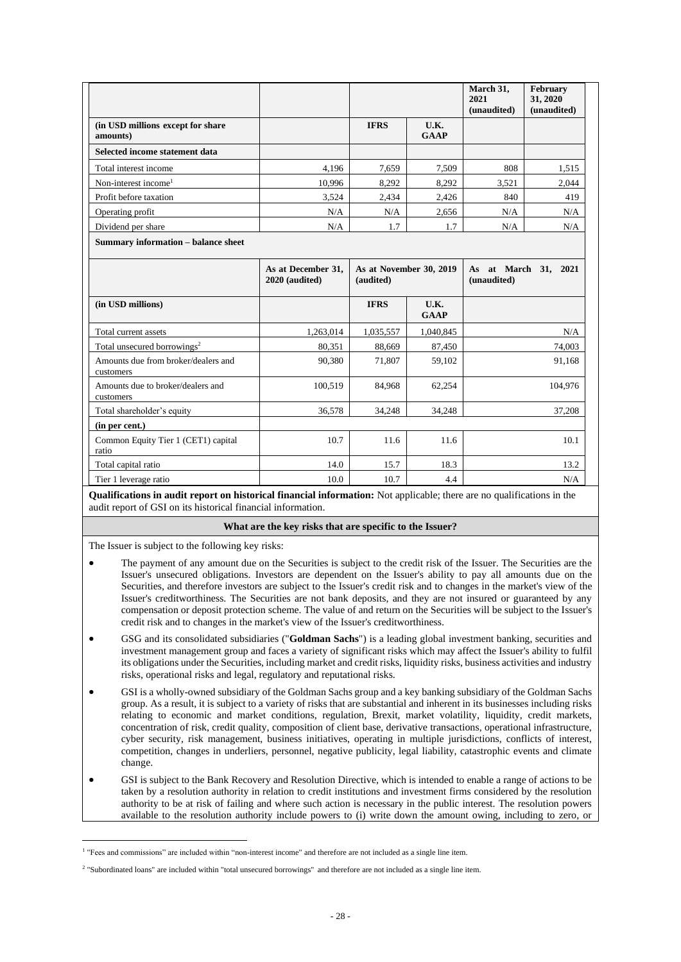|                                                  |                                      |                                      |                     | March 31,<br>2021<br>(unaudited) | February<br>31, 2020<br>(unaudited) |
|--------------------------------------------------|--------------------------------------|--------------------------------------|---------------------|----------------------------------|-------------------------------------|
| (in USD millions except for share<br>amounts)    |                                      | <b>IFRS</b>                          | U.K.<br><b>GAAP</b> |                                  |                                     |
| Selected income statement data                   |                                      |                                      |                     |                                  |                                     |
| Total interest income                            | 4.196                                | 7.659                                | 7.509               | 808                              | 1.515                               |
| Non-interest income <sup>1</sup>                 | 10,996                               | 8,292                                | 8,292               | 3,521                            | 2,044                               |
| Profit before taxation                           | 3,524                                | 2,434                                | 2,426               | 840                              | 419                                 |
| Operating profit                                 | N/A                                  | N/A                                  | 2,656               | N/A                              | N/A                                 |
| Dividend per share                               | N/A                                  | 1.7                                  | 1.7                 | N/A                              | N/A                                 |
| Summary information - balance sheet              | As at December 31,<br>2020 (audited) | As at November 30, 2019<br>(audited) |                     | (unaudited)                      | As at March 31, 2021                |
| (in USD millions)                                |                                      | <b>IFRS</b>                          | U.K.<br><b>GAAP</b> |                                  |                                     |
| Total current assets                             | 1,263,014                            | 1,035,557                            | 1,040,845           |                                  | N/A                                 |
| Total unsecured borrowings <sup>2</sup>          | 80,351                               | 88,669                               | 87,450              |                                  | 74,003                              |
| Amounts due from broker/dealers and<br>customers | 90,380                               | 71,807                               | 59,102              |                                  | 91,168                              |
| Amounts due to broker/dealers and<br>customers   | 100.519                              | 84.968                               | 62.254              |                                  | 104,976                             |
| Total shareholder's equity                       | 36,578                               | 34,248                               | 34,248              |                                  | 37,208                              |
| (in per cent.)                                   |                                      |                                      |                     |                                  |                                     |
| Common Equity Tier 1 (CET1) capital<br>ratio     | 10.7                                 | 11.6                                 | 11.6                |                                  | 10.1                                |
| Total capital ratio                              | 14.0                                 | 15.7                                 | 18.3                |                                  | 13.2                                |
| Tier 1 leverage ratio                            | 10.0                                 | 10.7                                 | 4.4                 |                                  | N/A                                 |

**Qualifications in audit report on historical financial information:** Not applicable; there are no qualifications in the audit report of GSI on its historical financial information.

#### **What are the key risks that are specific to the Issuer?**

The Issuer is subject to the following key risks:

- The payment of any amount due on the Securities is subject to the credit risk of the Issuer. The Securities are the Issuer's unsecured obligations. Investors are dependent on the Issuer's ability to pay all amounts due on the Securities, and therefore investors are subject to the Issuer's credit risk and to changes in the market's view of the Issuer's creditworthiness. The Securities are not bank deposits, and they are not insured or guaranteed by any compensation or deposit protection scheme. The value of and return on the Securities will be subject to the Issuer's credit risk and to changes in the market's view of the Issuer's creditworthiness.
- GSG and its consolidated subsidiaries ("**Goldman Sachs**") is a leading global investment banking, securities and investment management group and faces a variety of significant risks which may affect the Issuer's ability to fulfil its obligations under the Securities, including market and credit risks, liquidity risks, business activities and industry risks, operational risks and legal, regulatory and reputational risks.
- GSI is a wholly-owned subsidiary of the Goldman Sachs group and a key banking subsidiary of the Goldman Sachs group. As a result, it is subject to a variety of risks that are substantial and inherent in its businesses including risks relating to economic and market conditions, regulation, Brexit, market volatility, liquidity, credit markets, concentration of risk, credit quality, composition of client base, derivative transactions, operational infrastructure, cyber security, risk management, business initiatives, operating in multiple jurisdictions, conflicts of interest, competition, changes in underliers, personnel, negative publicity, legal liability, catastrophic events and climate change.
- GSI is subject to the Bank Recovery and Resolution Directive, which is intended to enable a range of actions to be taken by a resolution authority in relation to credit institutions and investment firms considered by the resolution authority to be at risk of failing and where such action is necessary in the public interest. The resolution powers available to the resolution authority include powers to (i) write down the amount owing, including to zero, or

<sup>&</sup>lt;sup>1</sup> "Fees and commissions" are included within "non-interest income" and therefore are not included as a single line item.

<sup>2</sup> "Subordinated loans" are included within "total unsecured borrowings" and therefore are not included as a single line item.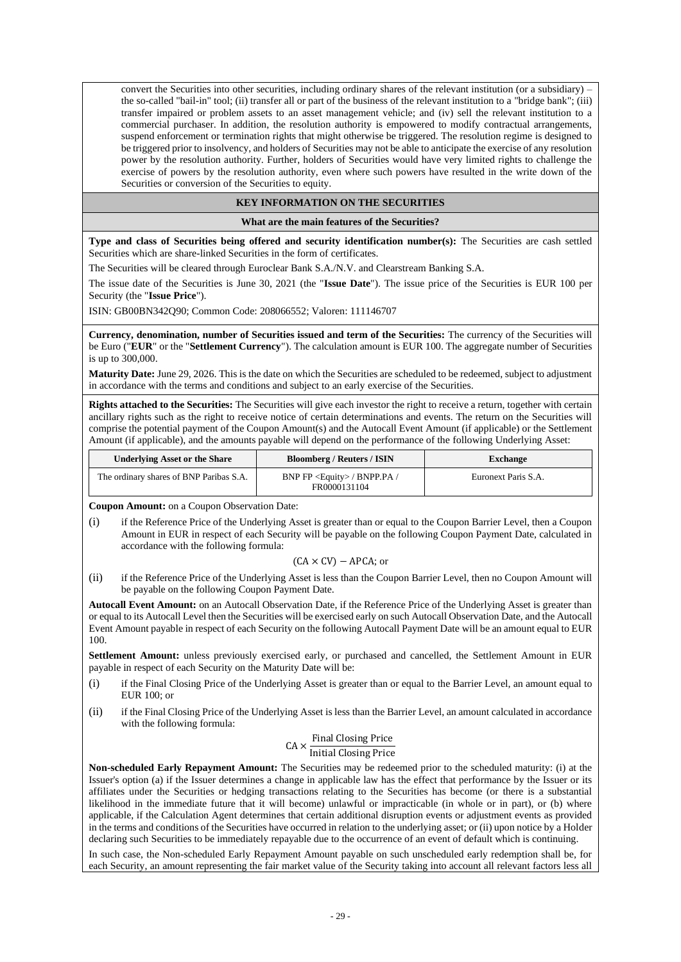convert the Securities into other securities, including ordinary shares of the relevant institution (or a subsidiary) the so-called "bail-in" tool; (ii) transfer all or part of the business of the relevant institution to a "bridge bank"; (iii) transfer impaired or problem assets to an asset management vehicle; and (iv) sell the relevant institution to a commercial purchaser. In addition, the resolution authority is empowered to modify contractual arrangements, suspend enforcement or termination rights that might otherwise be triggered. The resolution regime is designed to be triggered prior to insolvency, and holders of Securities may not be able to anticipate the exercise of any resolution power by the resolution authority. Further, holders of Securities would have very limited rights to challenge the exercise of powers by the resolution authority, even where such powers have resulted in the write down of the Securities or conversion of the Securities to equity.

#### **KEY INFORMATION ON THE SECURITIES**

**What are the main features of the Securities?**

**Type and class of Securities being offered and security identification number(s):** The Securities are cash settled Securities which are share-linked Securities in the form of certificates.

The Securities will be cleared through Euroclear Bank S.A./N.V. and Clearstream Banking S.A.

The issue date of the Securities is June 30, 2021 (the "**Issue Date**"). The issue price of the Securities is EUR 100 per Security (the "**Issue Price**").

ISIN: GB00BN342Q90; Common Code: 208066552; Valoren: 111146707

**Currency, denomination, number of Securities issued and term of the Securities:** The currency of the Securities will be Euro ("**EUR**" or the "**Settlement Currency**"). The calculation amount is EUR 100. The aggregate number of Securities is up to 300,000.

**Maturity Date:** June 29, 2026. This is the date on which the Securities are scheduled to be redeemed, subject to adjustment in accordance with the terms and conditions and subject to an early exercise of the Securities.

**Rights attached to the Securities:** The Securities will give each investor the right to receive a return, together with certain ancillary rights such as the right to receive notice of certain determinations and events. The return on the Securities will comprise the potential payment of the Coupon Amount(s) and the Autocall Event Amount (if applicable) or the Settlement Amount (if applicable), and the amounts payable will depend on the performance of the following Underlying Asset:

| <b>Underlying Asset or the Share</b>    | <b>Bloomberg / Reuters / ISIN</b>                     | <b>Exchange</b>     |  |
|-----------------------------------------|-------------------------------------------------------|---------------------|--|
| The ordinary shares of BNP Paribas S.A. | BNP FP <equity> / BNPP.PA /<br/>FR0000131104</equity> | Euronext Paris S.A. |  |

**Coupon Amount:** on a Coupon Observation Date:

(i) if the Reference Price of the Underlying Asset is greater than or equal to the Coupon Barrier Level, then a Coupon Amount in EUR in respect of each Security will be payable on the following Coupon Payment Date, calculated in accordance with the following formula:

#### $(CA \times CV) - APCA$ ; or

(ii) if the Reference Price of the Underlying Asset is less than the Coupon Barrier Level, then no Coupon Amount will be payable on the following Coupon Payment Date.

**Autocall Event Amount:** on an Autocall Observation Date, if the Reference Price of the Underlying Asset is greater than or equal to its Autocall Level then the Securities will be exercised early on such Autocall Observation Date, and the Autocall Event Amount payable in respect of each Security on the following Autocall Payment Date will be an amount equal to EUR 100.

**Settlement Amount:** unless previously exercised early, or purchased and cancelled, the Settlement Amount in EUR payable in respect of each Security on the Maturity Date will be:

- (i) if the Final Closing Price of the Underlying Asset is greater than or equal to the Barrier Level, an amount equal to EUR 100; or
- (ii) if the Final Closing Price of the Underlying Asset is less than the Barrier Level, an amount calculated in accordance with the following formula:

#### $CA \times \frac{\text{Final Closing Price}}{\text{Initial Classifier Review}}$ Initial Closing Price

**Non-scheduled Early Repayment Amount:** The Securities may be redeemed prior to the scheduled maturity: (i) at the Issuer's option (a) if the Issuer determines a change in applicable law has the effect that performance by the Issuer or its affiliates under the Securities or hedging transactions relating to the Securities has become (or there is a substantial likelihood in the immediate future that it will become) unlawful or impracticable (in whole or in part), or (b) where applicable, if the Calculation Agent determines that certain additional disruption events or adjustment events as provided in the terms and conditions of the Securities have occurred in relation to the underlying asset; or (ii) upon notice by a Holder declaring such Securities to be immediately repayable due to the occurrence of an event of default which is continuing.

In such case, the Non-scheduled Early Repayment Amount payable on such unscheduled early redemption shall be, for each Security, an amount representing the fair market value of the Security taking into account all relevant factors less all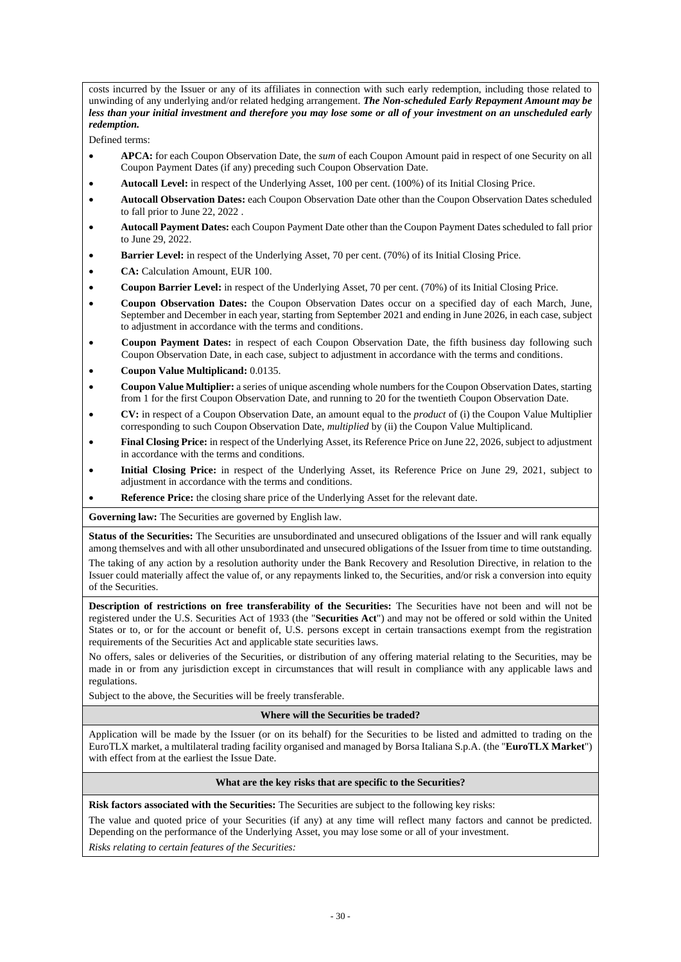costs incurred by the Issuer or any of its affiliates in connection with such early redemption, including those related to unwinding of any underlying and/or related hedging arrangement. *The Non-scheduled Early Repayment Amount may be less than your initial investment and therefore you may lose some or all of your investment on an unscheduled early redemption.*

Defined terms:

- **APCA:** for each Coupon Observation Date, the *sum* of each Coupon Amount paid in respect of one Security on all Coupon Payment Dates (if any) preceding such Coupon Observation Date.
- **Autocall Level:** in respect of the Underlying Asset, 100 per cent. (100%) of its Initial Closing Price.
- **Autocall Observation Dates:** each Coupon Observation Date other than the Coupon Observation Dates scheduled to fall prior to June 22, 2022 .
- **Autocall Payment Dates:** each Coupon Payment Date other than the Coupon Payment Dates scheduled to fall prior to June 29, 2022.
- **Barrier Level:** in respect of the Underlying Asset, 70 per cent. (70%) of its Initial Closing Price.
- **CA:** Calculation Amount, EUR 100.
- **Coupon Barrier Level:** in respect of the Underlying Asset, 70 per cent. (70%) of its Initial Closing Price.
- **Coupon Observation Dates:** the Coupon Observation Dates occur on a specified day of each March, June, September and December in each year, starting from September 2021 and ending in June 2026, in each case, subject to adjustment in accordance with the terms and conditions.
- **Coupon Payment Dates:** in respect of each Coupon Observation Date, the fifth business day following such Coupon Observation Date, in each case, subject to adjustment in accordance with the terms and conditions.
- **Coupon Value Multiplicand:** 0.0135.
- **Coupon Value Multiplier:** a series of unique ascending whole numbers for the Coupon Observation Dates, starting from 1 for the first Coupon Observation Date, and running to 20 for the twentieth Coupon Observation Date.
- **CV:** in respect of a Coupon Observation Date, an amount equal to the *product* of (i) the Coupon Value Multiplier corresponding to such Coupon Observation Date, *multiplied* by (ii) the Coupon Value Multiplicand.
- **Final Closing Price:** in respect of the Underlying Asset, its Reference Price on June 22, 2026, subject to adjustment in accordance with the terms and conditions.
- **Initial Closing Price:** in respect of the Underlying Asset, its Reference Price on June 29, 2021, subject to adjustment in accordance with the terms and conditions.
- **Reference Price:** the closing share price of the Underlying Asset for the relevant date.

**Governing law:** The Securities are governed by English law.

**Status of the Securities:** The Securities are unsubordinated and unsecured obligations of the Issuer and will rank equally among themselves and with all other unsubordinated and unsecured obligations of the Issuer from time to time outstanding.

The taking of any action by a resolution authority under the Bank Recovery and Resolution Directive, in relation to the Issuer could materially affect the value of, or any repayments linked to, the Securities, and/or risk a conversion into equity of the Securities.

**Description of restrictions on free transferability of the Securities:** The Securities have not been and will not be registered under the U.S. Securities Act of 1933 (the "**Securities Act**") and may not be offered or sold within the United States or to, or for the account or benefit of, U.S. persons except in certain transactions exempt from the registration requirements of the Securities Act and applicable state securities laws.

No offers, sales or deliveries of the Securities, or distribution of any offering material relating to the Securities, may be made in or from any jurisdiction except in circumstances that will result in compliance with any applicable laws and regulations.

Subject to the above, the Securities will be freely transferable.

#### **Where will the Securities be traded?**

Application will be made by the Issuer (or on its behalf) for the Securities to be listed and admitted to trading on the EuroTLX market, a multilateral trading facility organised and managed by Borsa Italiana S.p.A. (the "**EuroTLX Market**") with effect from at the earliest the Issue Date.

#### **What are the key risks that are specific to the Securities?**

**Risk factors associated with the Securities:** The Securities are subject to the following key risks:

The value and quoted price of your Securities (if any) at any time will reflect many factors and cannot be predicted. Depending on the performance of the Underlying Asset, you may lose some or all of your investment.

*Risks relating to certain features of the Securities:*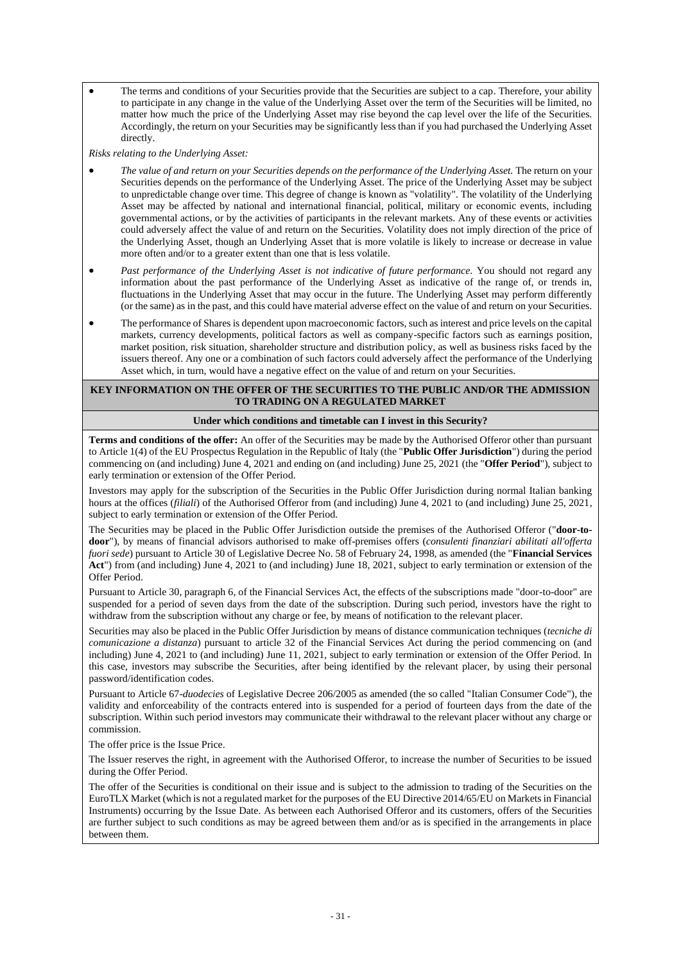• The terms and conditions of your Securities provide that the Securities are subject to a cap. Therefore, your ability to participate in any change in the value of the Underlying Asset over the term of the Securities will be limited, no matter how much the price of the Underlying Asset may rise beyond the cap level over the life of the Securities. Accordingly, the return on your Securities may be significantly less than if you had purchased the Underlying Asset directly.

*Risks relating to the Underlying Asset:*

- *The value of and return on your Securities depends on the performance of the Underlying Asset.* The return on your Securities depends on the performance of the Underlying Asset. The price of the Underlying Asset may be subject to unpredictable change over time. This degree of change is known as "volatility". The volatility of the Underlying Asset may be affected by national and international financial, political, military or economic events, including governmental actions, or by the activities of participants in the relevant markets. Any of these events or activities could adversely affect the value of and return on the Securities. Volatility does not imply direction of the price of the Underlying Asset, though an Underlying Asset that is more volatile is likely to increase or decrease in value more often and/or to a greater extent than one that is less volatile.
- *Past performance of the Underlying Asset is not indicative of future performance.* You should not regard any information about the past performance of the Underlying Asset as indicative of the range of, or trends in, fluctuations in the Underlying Asset that may occur in the future. The Underlying Asset may perform differently (or the same) as in the past, and this could have material adverse effect on the value of and return on your Securities.
- The performance of Shares is dependent upon macroeconomic factors, such as interest and price levels on the capital markets, currency developments, political factors as well as company-specific factors such as earnings position, market position, risk situation, shareholder structure and distribution policy, as well as business risks faced by the issuers thereof. Any one or a combination of such factors could adversely affect the performance of the Underlying Asset which, in turn, would have a negative effect on the value of and return on your Securities.

#### **KEY INFORMATION ON THE OFFER OF THE SECURITIES TO THE PUBLIC AND/OR THE ADMISSION TO TRADING ON A REGULATED MARKET**

#### **Under which conditions and timetable can I invest in this Security?**

**Terms and conditions of the offer:** An offer of the Securities may be made by the Authorised Offeror other than pursuant to Article 1(4) of the EU Prospectus Regulation in the Republic of Italy (the "**Public Offer Jurisdiction**") during the period commencing on (and including) June 4, 2021 and ending on (and including) June 25, 2021 (the "**Offer Period**"), subject to early termination or extension of the Offer Period.

Investors may apply for the subscription of the Securities in the Public Offer Jurisdiction during normal Italian banking hours at the offices (*filiali*) of the Authorised Offeror from (and including) June 4, 2021 to (and including) June 25, 2021, subject to early termination or extension of the Offer Period.

The Securities may be placed in the Public Offer Jurisdiction outside the premises of the Authorised Offeror ("**door-todoor**"), by means of financial advisors authorised to make off-premises offers (*consulenti finanziari abilitati all'offerta fuori sede*) pursuant to Article 30 of Legislative Decree No. 58 of February 24, 1998, as amended (the "**Financial Services Act**") from (and including) June 4, 2021 to (and including) June 18, 2021, subject to early termination or extension of the Offer Period.

Pursuant to Article 30, paragraph 6, of the Financial Services Act, the effects of the subscriptions made "door-to-door" are suspended for a period of seven days from the date of the subscription. During such period, investors have the right to withdraw from the subscription without any charge or fee, by means of notification to the relevant placer.

Securities may also be placed in the Public Offer Jurisdiction by means of distance communication techniques (*tecniche di comunicazione a distanza*) pursuant to article 32 of the Financial Services Act during the period commencing on (and including) June 4, 2021 to (and including) June 11, 2021, subject to early termination or extension of the Offer Period. In this case, investors may subscribe the Securities, after being identified by the relevant placer, by using their personal password/identification codes.

Pursuant to Article 67-*duodecies* of Legislative Decree 206/2005 as amended (the so called "Italian Consumer Code"), the validity and enforceability of the contracts entered into is suspended for a period of fourteen days from the date of the subscription. Within such period investors may communicate their withdrawal to the relevant placer without any charge or commission.

The offer price is the Issue Price.

The Issuer reserves the right, in agreement with the Authorised Offeror, to increase the number of Securities to be issued during the Offer Period.

The offer of the Securities is conditional on their issue and is subject to the admission to trading of the Securities on the EuroTLX Market (which is not a regulated market for the purposes of the EU Directive 2014/65/EU on Markets in Financial Instruments) occurring by the Issue Date. As between each Authorised Offeror and its customers, offers of the Securities are further subject to such conditions as may be agreed between them and/or as is specified in the arrangements in place between them.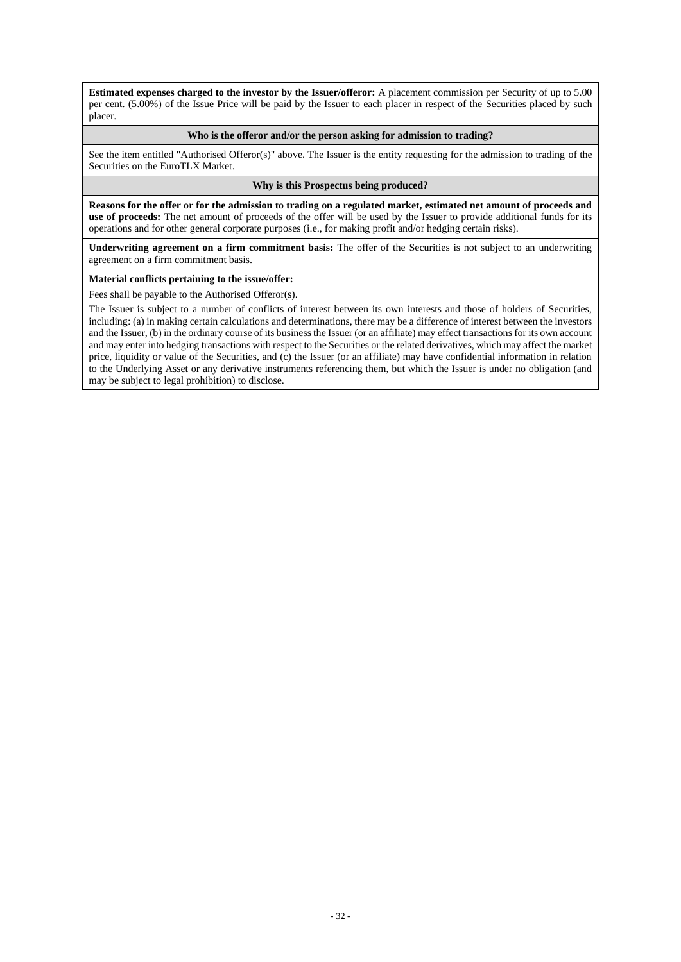**Estimated expenses charged to the investor by the Issuer/offeror:** A placement commission per Security of up to 5.00 per cent. (5.00%) of the Issue Price will be paid by the Issuer to each placer in respect of the Securities placed by such placer.

#### **Who is the offeror and/or the person asking for admission to trading?**

See the item entitled "Authorised Offeror(s)" above. The Issuer is the entity requesting for the admission to trading of the Securities on the EuroTLX Market.

#### **Why is this Prospectus being produced?**

**Reasons for the offer or for the admission to trading on a regulated market, estimated net amount of proceeds and use of proceeds:** The net amount of proceeds of the offer will be used by the Issuer to provide additional funds for its operations and for other general corporate purposes (i.e., for making profit and/or hedging certain risks).

**Underwriting agreement on a firm commitment basis:** The offer of the Securities is not subject to an underwriting agreement on a firm commitment basis.

#### **Material conflicts pertaining to the issue/offer:**

Fees shall be payable to the Authorised Offeror(s).

The Issuer is subject to a number of conflicts of interest between its own interests and those of holders of Securities, including: (a) in making certain calculations and determinations, there may be a difference of interest between the investors and the Issuer, (b) in the ordinary course of its business the Issuer (or an affiliate) may effect transactions for its own account and may enter into hedging transactions with respect to the Securities or the related derivatives, which may affect the market price, liquidity or value of the Securities, and (c) the Issuer (or an affiliate) may have confidential information in relation to the Underlying Asset or any derivative instruments referencing them, but which the Issuer is under no obligation (and may be subject to legal prohibition) to disclose.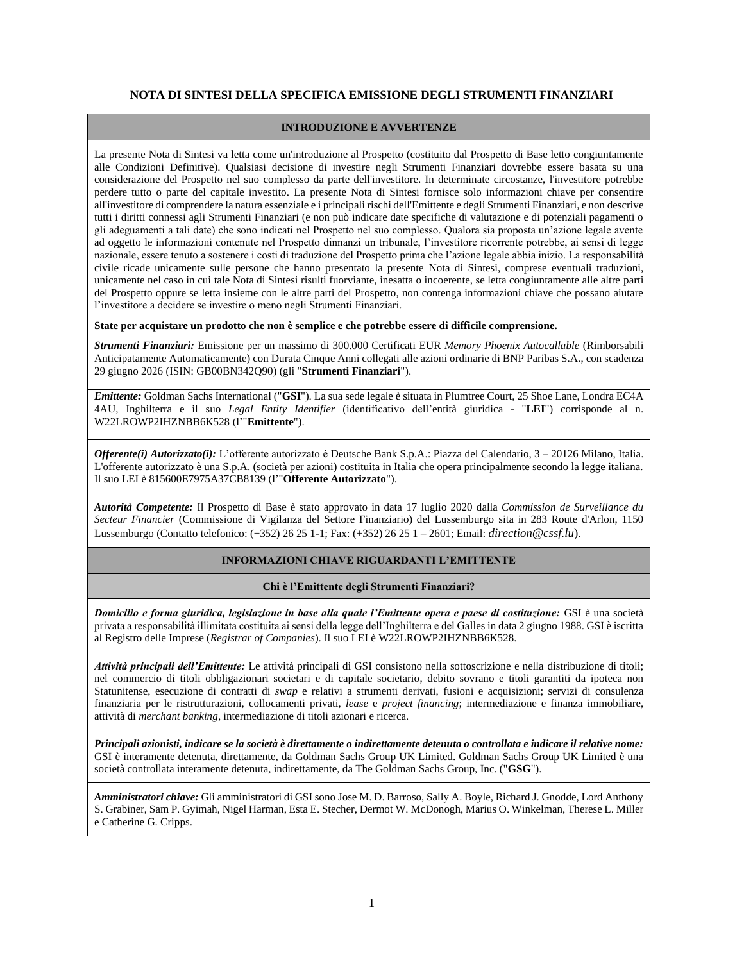### **NOTA DI SINTESI DELLA SPECIFICA EMISSIONE DEGLI STRUMENTI FINANZIARI**

#### **INTRODUZIONE E AVVERTENZE**

La presente Nota di Sintesi va letta come un'introduzione al Prospetto (costituito dal Prospetto di Base letto congiuntamente alle Condizioni Definitive). Qualsiasi decisione di investire negli Strumenti Finanziari dovrebbe essere basata su una considerazione del Prospetto nel suo complesso da parte dell'investitore. In determinate circostanze, l'investitore potrebbe perdere tutto o parte del capitale investito. La presente Nota di Sintesi fornisce solo informazioni chiave per consentire all'investitore di comprendere la natura essenziale e i principali rischi dell'Emittente e degli Strumenti Finanziari, e non descrive tutti i diritti connessi agli Strumenti Finanziari (e non può indicare date specifiche di valutazione e di potenziali pagamenti o gli adeguamenti a tali date) che sono indicati nel Prospetto nel suo complesso. Qualora sia proposta un'azione legale avente ad oggetto le informazioni contenute nel Prospetto dinnanzi un tribunale, l'investitore ricorrente potrebbe, ai sensi di legge nazionale, essere tenuto a sostenere i costi di traduzione del Prospetto prima che l'azione legale abbia inizio. La responsabilità civile ricade unicamente sulle persone che hanno presentato la presente Nota di Sintesi, comprese eventuali traduzioni, unicamente nel caso in cui tale Nota di Sintesi risulti fuorviante, inesatta o incoerente, se letta congiuntamente alle altre parti del Prospetto oppure se letta insieme con le altre parti del Prospetto, non contenga informazioni chiave che possano aiutare l'investitore a decidere se investire o meno negli Strumenti Finanziari.

**State per acquistare un prodotto che non è semplice e che potrebbe essere di difficile comprensione.** 

*Strumenti Finanziari:* Emissione per un massimo di 300.000 Certificati EUR *Memory Phoenix Autocallable* (Rimborsabili Anticipatamente Automaticamente) con Durata Cinque Anni collegati alle azioni ordinarie di BNP Paribas S.A., con scadenza 29 giugno 2026 (ISIN: GB00BN342Q90) (gli "**Strumenti Finanziari**").

*Emittente:* Goldman Sachs International ("**GSI**"). La sua sede legale è situata in Plumtree Court, 25 Shoe Lane, Londra EC4A 4AU, Inghilterra e il suo *Legal Entity Identifier* (identificativo dell'entità giuridica - "**LEI**") corrisponde al n. W22LROWP2IHZNBB6K528 (l'"**Emittente**").

*Offerente(i) Autorizzato(i):* L'offerente autorizzato è Deutsche Bank S.p.A.: Piazza del Calendario, 3 – 20126 Milano, Italia. L'offerente autorizzato è una S.p.A. (società per azioni) costituita in Italia che opera principalmente secondo la legge italiana. Il suo LEI è 815600E7975A37CB8139 (l'"**Offerente Autorizzato**").

*Autorità Competente:* Il Prospetto di Base è stato approvato in data 17 luglio 2020 dalla *Commission de Surveillance du Secteur Financier* (Commissione di Vigilanza del Settore Finanziario) del Lussemburgo sita in 283 Route d'Arlon, 1150 Lussemburgo (Contatto telefonico: (+352) 26 25 1-1; Fax: (+352) 26 25 1 – 2601; Email: *[direction@cssf.lu](mailto:direction@cssf.lu).)*).

#### **INFORMAZIONI CHIAVE RIGUARDANTI L'EMITTENTE**

#### **Chi è l'Emittente degli Strumenti Finanziari?**

*Domicilio e forma giuridica, legislazione in base alla quale l'Emittente opera e paese di costituzione:* GSI è una società privata a responsabilità illimitata costituita ai sensi della legge dell'Inghilterra e del Galles in data 2 giugno 1988. GSI è iscritta al Registro delle Imprese (*Registrar of Companies*). Il suo LEI è W22LROWP2IHZNBB6K528.

*Attività principali dell'Emittente:* Le attività principali di GSI consistono nella sottoscrizione e nella distribuzione di titoli; nel commercio di titoli obbligazionari societari e di capitale societario, debito sovrano e titoli garantiti da ipoteca non Statunitense, esecuzione di contratti di *swap* e relativi a strumenti derivati, fusioni e acquisizioni; servizi di consulenza finanziaria per le ristrutturazioni, collocamenti privati, *lease* e *project financing*; intermediazione e finanza immobiliare, attività di *merchant banking*, intermediazione di titoli azionari e ricerca.

*Principali azionisti, indicare se la società è direttamente o indirettamente detenuta o controllata e indicare il relative nome:* GSI è interamente detenuta, direttamente, da Goldman Sachs Group UK Limited. Goldman Sachs Group UK Limited è una società controllata interamente detenuta, indirettamente, da The Goldman Sachs Group, Inc. ("**GSG**").

*Amministratori chiave:* Gli amministratori di GSI sono Jose M. D. Barroso, Sally A. Boyle, Richard J. Gnodde, Lord Anthony S. Grabiner, Sam P. Gyimah, Nigel Harman, Esta E. Stecher, Dermot W. McDonogh, Marius O. Winkelman, Therese L. Miller e Catherine G. Cripps.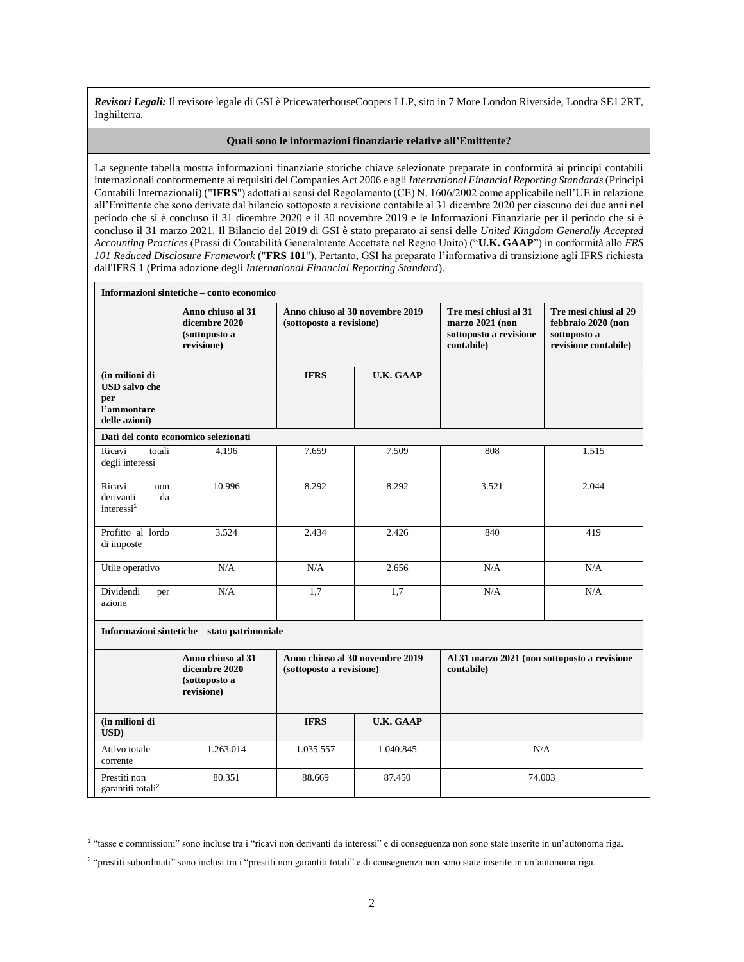*Revisori Legali:* Il revisore legale di GSI è PricewaterhouseCoopers LLP, sito in 7 More London Riverside, Londra SE1 2RT, Inghilterra.

#### **Quali sono le informazioni finanziarie relative all'Emittente?**

La seguente tabella mostra informazioni finanziarie storiche chiave selezionate preparate in conformità ai principi contabili internazionali conformemente ai requisiti del Companies Act 2006 e agli *International Financial Reporting Standards* (Principi Contabili Internazionali) ("**IFRS**") adottati ai sensi del Regolamento (CE) N. 1606/2002 come applicabile nell'UE in relazione all'Emittente che sono derivate dal bilancio sottoposto a revisione contabile al 31 dicembre 2020 per ciascuno dei due anni nel periodo che si è concluso il 31 dicembre 2020 e il 30 novembre 2019 e le Informazioni Finanziarie per il periodo che si è concluso il 31 marzo 2021. Il Bilancio del 2019 di GSI è stato preparato ai sensi delle *United Kingdom Generally Accepted Accounting Practices* (Prassi di Contabilità Generalmente Accettate nel Regno Unito) ("**U.K. GAAP**") in conformità allo *FRS 101 Reduced Disclosure Framework* ("**FRS 101**"). Pertanto, GSI ha preparato l'informativa di transizione agli IFRS richiesta dall'IFRS 1 (Prima adozione degli *International Financial Reporting Standard*).

| Informazioni sintetiche – conto economico                                     |                                                                   |                                                             |                                                             |                                                            |                                                                                     |  |
|-------------------------------------------------------------------------------|-------------------------------------------------------------------|-------------------------------------------------------------|-------------------------------------------------------------|------------------------------------------------------------|-------------------------------------------------------------------------------------|--|
|                                                                               | Anno chiuso al 31<br>dicembre 2020<br>(sottoposto a<br>revisione) |                                                             | Anno chiuso al 30 novembre 2019<br>(sottoposto a revisione) |                                                            | Tre mesi chiusi al 29<br>febbraio 2020 (non<br>sottoposto a<br>revisione contabile) |  |
| (in milioni di<br><b>USD</b> salvo che<br>per<br>l'ammontare<br>delle azioni) |                                                                   | <b>IFRS</b>                                                 | <b>U.K. GAAP</b>                                            |                                                            |                                                                                     |  |
|                                                                               | Dati del conto economico selezionati                              |                                                             |                                                             |                                                            |                                                                                     |  |
| Ricavi<br>totali<br>degli interessi                                           | 4.196                                                             | 7.659                                                       | 7.509                                                       | 808                                                        | 1.515                                                                               |  |
| Ricavi<br>non<br>derivanti<br>da<br>interessi <sup>1</sup>                    | 10.996                                                            | 8.292                                                       | 8.292                                                       | 3.521                                                      | 2.044                                                                               |  |
| Profitto al lordo<br>di imposte                                               | 3.524                                                             | 2.434                                                       | 2.426                                                       | 840                                                        | 419                                                                                 |  |
| Utile operativo                                                               | N/A                                                               | N/A                                                         | 2.656                                                       | N/A                                                        | N/A                                                                                 |  |
| Dividendi<br>per<br>azione                                                    | N/A                                                               | 1,7                                                         | 1,7                                                         | N/A                                                        | N/A                                                                                 |  |
|                                                                               | Informazioni sintetiche - stato patrimoniale                      |                                                             |                                                             |                                                            |                                                                                     |  |
|                                                                               | Anno chiuso al 31<br>dicembre 2020<br>(sottoposto a<br>revisione) | Anno chiuso al 30 novembre 2019<br>(sottoposto a revisione) |                                                             | Al 31 marzo 2021 (non sottoposto a revisione<br>contabile) |                                                                                     |  |
| (in milioni di<br>USD)                                                        |                                                                   | <b>IFRS</b>                                                 | <b>U.K. GAAP</b>                                            |                                                            |                                                                                     |  |
| Attivo totale<br>corrente                                                     | 1.263.014                                                         | 1.035.557                                                   | 1.040.845                                                   | N/A                                                        |                                                                                     |  |
| Prestiti non<br>garantiti totali <sup>2</sup>                                 | 80.351                                                            | 88.669                                                      | 87.450                                                      | 74.003                                                     |                                                                                     |  |

<sup>1</sup> "tasse e commissioni" sono incluse tra i "ricavi non derivanti da interessi" e di conseguenza non sono state inserite in un'autonoma riga.

<sup>2</sup> "prestiti subordinati" sono inclusi tra i "prestiti non garantiti totali" e di conseguenza non sono state inserite in un'autonoma riga.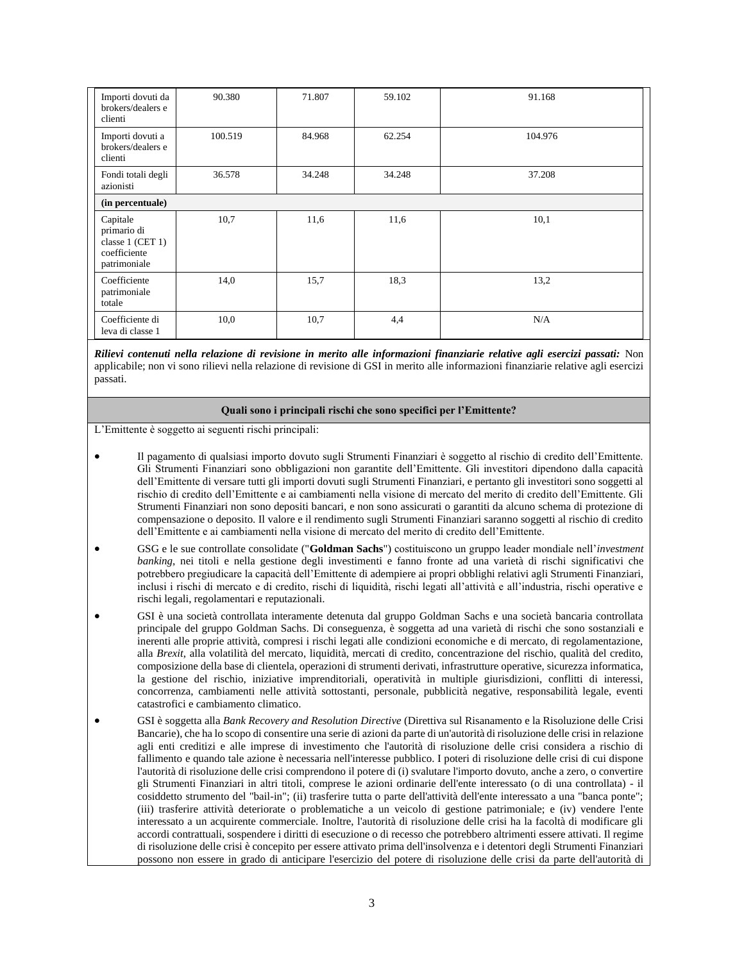| Importi dovuti da<br>brokers/dealers e<br>clienti                           | 90.380  | 71.807 | 59.102 | 91.168  |  |  |
|-----------------------------------------------------------------------------|---------|--------|--------|---------|--|--|
| Importi dovuti a<br>brokers/dealers e<br>clienti                            | 100.519 | 84.968 | 62.254 | 104.976 |  |  |
| Fondi totali degli<br>azionisti                                             | 36.578  | 34.248 | 34.248 | 37.208  |  |  |
| (in percentuale)                                                            |         |        |        |         |  |  |
| Capitale<br>primario di<br>classe 1 (CET 1)<br>coefficiente<br>patrimoniale | 10,7    | 11,6   | 11,6   | 10,1    |  |  |
| Coefficiente<br>patrimoniale<br>totale                                      | 14,0    | 15,7   | 18,3   | 13,2    |  |  |
| Coefficiente di<br>leva di classe 1                                         | 10,0    | 10,7   | 4,4    | N/A     |  |  |

*Rilievi contenuti nella relazione di revisione in merito alle informazioni finanziarie relative agli esercizi passati:* Non applicabile; non vi sono rilievi nella relazione di revisione di GSI in merito alle informazioni finanziarie relative agli esercizi passati.

#### **Quali sono i principali rischi che sono specifici per l'Emittente?**

L'Emittente è soggetto ai seguenti rischi principali:

- Il pagamento di qualsiasi importo dovuto sugli Strumenti Finanziari è soggetto al rischio di credito dell'Emittente. Gli Strumenti Finanziari sono obbligazioni non garantite dell'Emittente. Gli investitori dipendono dalla capacità dell'Emittente di versare tutti gli importi dovuti sugli Strumenti Finanziari, e pertanto gli investitori sono soggetti al rischio di credito dell'Emittente e ai cambiamenti nella visione di mercato del merito di credito dell'Emittente. Gli Strumenti Finanziari non sono depositi bancari, e non sono assicurati o garantiti da alcuno schema di protezione di compensazione o deposito. Il valore e il rendimento sugli Strumenti Finanziari saranno soggetti al rischio di credito dell'Emittente e ai cambiamenti nella visione di mercato del merito di credito dell'Emittente.
- GSG e le sue controllate consolidate ("**Goldman Sachs**") costituiscono un gruppo leader mondiale nell'*investment banking*, nei titoli e nella gestione degli investimenti e fanno fronte ad una varietà di rischi significativi che potrebbero pregiudicare la capacità dell'Emittente di adempiere ai propri obblighi relativi agli Strumenti Finanziari, inclusi i rischi di mercato e di credito, rischi di liquidità, rischi legati all'attività e all'industria, rischi operative e rischi legali, regolamentari e reputazionali.
- GSI è una società controllata interamente detenuta dal gruppo Goldman Sachs e una società bancaria controllata principale del gruppo Goldman Sachs. Di conseguenza, è soggetta ad una varietà di rischi che sono sostanziali e inerenti alle proprie attività, compresi i rischi legati alle condizioni economiche e di mercato, di regolamentazione, alla *Brexit*, alla volatilità del mercato, liquidità, mercati di credito, concentrazione del rischio, qualità del credito, composizione della base di clientela, operazioni di strumenti derivati, infrastrutture operative, sicurezza informatica, la gestione del rischio, iniziative imprenditoriali, operatività in multiple giurisdizioni, conflitti di interessi, concorrenza, cambiamenti nelle attività sottostanti, personale, pubblicità negative, responsabilità legale, eventi catastrofici e cambiamento climatico.
- GSI è soggetta alla *Bank Recovery and Resolution Directive* (Direttiva sul Risanamento e la Risoluzione delle Crisi Bancarie), che ha lo scopo di consentire una serie di azioni da parte di un'autorità di risoluzione delle crisi in relazione agli enti creditizi e alle imprese di investimento che l'autorità di risoluzione delle crisi considera a rischio di fallimento e quando tale azione è necessaria nell'interesse pubblico. I poteri di risoluzione delle crisi di cui dispone l'autorità di risoluzione delle crisi comprendono il potere di (i) svalutare l'importo dovuto, anche a zero, o convertire gli Strumenti Finanziari in altri titoli, comprese le azioni ordinarie dell'ente interessato (o di una controllata) - il cosiddetto strumento del "bail-in"; (ii) trasferire tutta o parte dell'attività dell'ente interessato a una "banca ponte"; (iii) trasferire attività deteriorate o problematiche a un veicolo di gestione patrimoniale; e (iv) vendere l'ente interessato a un acquirente commerciale. Inoltre, l'autorità di risoluzione delle crisi ha la facoltà di modificare gli accordi contrattuali, sospendere i diritti di esecuzione o di recesso che potrebbero altrimenti essere attivati. Il regime di risoluzione delle crisi è concepito per essere attivato prima dell'insolvenza e i detentori degli Strumenti Finanziari possono non essere in grado di anticipare l'esercizio del potere di risoluzione delle crisi da parte dell'autorità di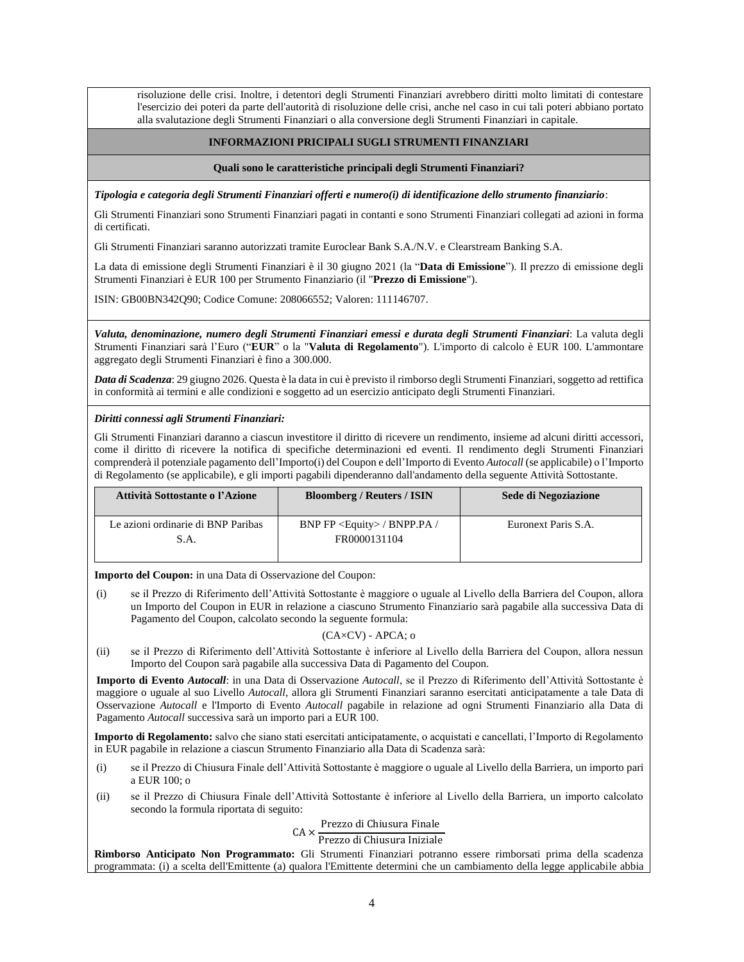risoluzione delle crisi. Inoltre, i detentori degli Strumenti Finanziari avrebbero diritti molto limitati di contestare l'esercizio dei poteri da parte dell'autorità di risoluzione delle crisi, anche nel caso in cui tali poteri abbiano portato alla svalutazione degli Strumenti Finanziari o alla conversione degli Strumenti Finanziari in capitale.

#### **INFORMAZIONI PRICIPALI SUGLI STRUMENTI FINANZIARI**

#### **Quali sono le caratteristiche principali degli Strumenti Finanziari?**

*Tipologia e categoria degli Strumenti Finanziari offerti e numero(i) di identificazione dello strumento finanziario*:

Gli Strumenti Finanziari sono Strumenti Finanziari pagati in contanti e sono Strumenti Finanziari collegati ad azioni in forma di certificati.

Gli Strumenti Finanziari saranno autorizzati tramite Euroclear Bank S.A./N.V. e Clearstream Banking S.A.

La data di emissione degli Strumenti Finanziari è il 30 giugno 2021 (la "**Data di Emissione**"). Il prezzo di emissione degli Strumenti Finanziari è EUR 100 per Strumento Finanziario (il "**Prezzo di Emissione**").

ISIN: GB00BN342Q90; Codice Comune: 208066552; Valoren: 111146707.

*Valuta, denominazione, numero degli Strumenti Finanziari emessi e durata degli Strumenti Finanziari*: La valuta degli Strumenti Finanziari sarà l'Euro ("**EUR**" o la "**Valuta di Regolamento**"). L'importo di calcolo è EUR 100. L'ammontare aggregato degli Strumenti Finanziari è fino a 300.000.

*Data di Scadenza*: 29 giugno 2026. Questa è la data in cui è previsto il rimborso degli Strumenti Finanziari, soggetto ad rettifica in conformità ai termini e alle condizioni e soggetto ad un esercizio anticipato degli Strumenti Finanziari.

#### *Diritti connessi agli Strumenti Finanziari:*

Gli Strumenti Finanziari daranno a ciascun investitore il diritto di ricevere un rendimento, insieme ad alcuni diritti accessori, come il diritto di ricevere la notifica di specifiche determinazioni ed eventi. Il rendimento degli Strumenti Finanziari comprenderà il potenziale pagamento dell'Importo(i) del Coupon e dell'Importo di Evento *Autocall* (se applicabile) o l'Importo di Regolamento (se applicabile), e gli importi pagabili dipenderanno dall'andamento della seguente Attività Sottostante.

| Attività Sottostante o l'Azione    | <b>Bloomberg / Reuters / ISIN</b>    | Sede di Negoziazione |
|------------------------------------|--------------------------------------|----------------------|
| Le azioni ordinarie di BNP Paribas | BNP FP <equity> / BNPP.PA /</equity> | Euronext Paris S.A.  |
| S.A.                               | FR0000131104                         |                      |
|                                    |                                      |                      |

**Importo del Coupon:** in una Data di Osservazione del Coupon:

(i) se il Prezzo di Riferimento dell'Attività Sottostante è maggiore o uguale al Livello della Barriera del Coupon, allora un Importo del Coupon in EUR in relazione a ciascuno Strumento Finanziario sarà pagabile alla successiva Data di Pagamento del Coupon, calcolato secondo la seguente formula:

#### (CA×CV) - APCA; o

(ii) se il Prezzo di Riferimento dell'Attività Sottostante è inferiore al Livello della Barriera del Coupon, allora nessun Importo del Coupon sarà pagabile alla successiva Data di Pagamento del Coupon.

**Importo di Evento** *Autocall*: in una Data di Osservazione *Autocall*, se il Prezzo di Riferimento dell'Attività Sottostante è maggiore o uguale al suo Livello *Autocall*, allora gli Strumenti Finanziari saranno esercitati anticipatamente a tale Data di Osservazione *Autocall* e l'Importo di Evento *Autocall* pagabile in relazione ad ogni Strumenti Finanziario alla Data di Pagamento *Autocall* successiva sarà un importo pari a EUR 100.

**Importo di Regolamento:** salvo che siano stati esercitati anticipatamente, o acquistati e cancellati, l'Importo di Regolamento in EUR pagabile in relazione a ciascun Strumento Finanziario alla Data di Scadenza sarà:

- (i) se il Prezzo di Chiusura Finale dell'Attività Sottostante è maggiore o uguale al Livello della Barriera, un importo pari a EUR 100; o
- (ii) se il Prezzo di Chiusura Finale dell'Attività Sottostante è inferiore al Livello della Barriera, un importo calcolato secondo la formula riportata di seguito:

# CA × Prezzo di Chiusura Finale

Prezzo di Chiusura Iniziale

**Rimborso Anticipato Non Programmato:** Gli Strumenti Finanziari potranno essere rimborsati prima della scadenza programmata: (i) a scelta dell'Emittente (a) qualora l'Emittente determini che un cambiamento della legge applicabile abbia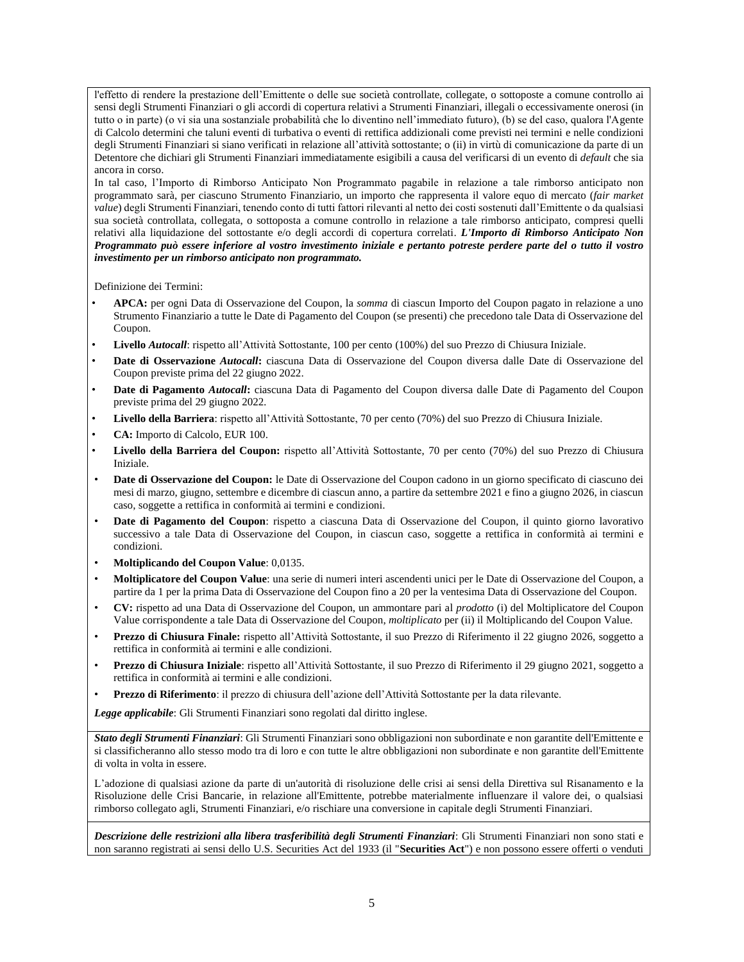l'effetto di rendere la prestazione dell'Emittente o delle sue società controllate, collegate, o sottoposte a comune controllo ai sensi degli Strumenti Finanziari o gli accordi di copertura relativi a Strumenti Finanziari, illegali o eccessivamente onerosi (in tutto o in parte) (o vi sia una sostanziale probabilità che lo diventino nell'immediato futuro), (b) se del caso, qualora l'Agente di Calcolo determini che taluni eventi di turbativa o eventi di rettifica addizionali come previsti nei termini e nelle condizioni degli Strumenti Finanziari si siano verificati in relazione all'attività sottostante; o (ii) in virtù di comunicazione da parte di un Detentore che dichiari gli Strumenti Finanziari immediatamente esigibili a causa del verificarsi di un evento di *default* che sia ancora in corso.

In tal caso, l'Importo di Rimborso Anticipato Non Programmato pagabile in relazione a tale rimborso anticipato non programmato sarà, per ciascuno Strumento Finanziario, un importo che rappresenta il valore equo di mercato (*fair market value*) degli Strumenti Finanziari, tenendo conto di tutti fattori rilevanti al netto dei costi sostenuti dall'Emittente o da qualsiasi sua società controllata, collegata, o sottoposta a comune controllo in relazione a tale rimborso anticipato, compresi quelli relativi alla liquidazione del sottostante e/o degli accordi di copertura correlati. *L'Importo di Rimborso Anticipato Non Programmato può essere inferiore al vostro investimento iniziale e pertanto potreste perdere parte del o tutto il vostro investimento per un rimborso anticipato non programmato.*

Definizione dei Termini:

- **APCA:** per ogni Data di Osservazione del Coupon, la *somma* di ciascun Importo del Coupon pagato in relazione a uno Strumento Finanziario a tutte le Date di Pagamento del Coupon (se presenti) che precedono tale Data di Osservazione del Coupon.
- **Livello** *Autocall*: rispetto all'Attività Sottostante, 100 per cento (100%) del suo Prezzo di Chiusura Iniziale.
- **Date di Osservazione** *Autocall***:** ciascuna Data di Osservazione del Coupon diversa dalle Date di Osservazione del Coupon previste prima del 22 giugno 2022.
- **Date di Pagamento** *Autocall***:** ciascuna Data di Pagamento del Coupon diversa dalle Date di Pagamento del Coupon previste prima del 29 giugno 2022*.*
- **Livello della Barriera**: rispetto all'Attività Sottostante, 70 per cento (70%) del suo Prezzo di Chiusura Iniziale.
- **CA:** Importo di Calcolo, EUR 100.
- **Livello della Barriera del Coupon:** rispetto all'Attività Sottostante, 70 per cento (70%) del suo Prezzo di Chiusura Iniziale.
- **Date di Osservazione del Coupon:** le Date di Osservazione del Coupon cadono in un giorno specificato di ciascuno dei mesi di marzo, giugno, settembre e dicembre di ciascun anno, a partire da settembre 2021 e fino a giugno 2026, in ciascun caso, soggette a rettifica in conformità ai termini e condizioni.
- **Date di Pagamento del Coupon**: rispetto a ciascuna Data di Osservazione del Coupon, il quinto giorno lavorativo successivo a tale Data di Osservazione del Coupon, in ciascun caso, soggette a rettifica in conformità ai termini e condizioni.
- **Moltiplicando del Coupon Value**: 0,0135.
- **Moltiplicatore del Coupon Value**: una serie di numeri interi ascendenti unici per le Date di Osservazione del Coupon, a partire da 1 per la prima Data di Osservazione del Coupon fino a 20 per la ventesima Data di Osservazione del Coupon.
- **CV:** rispetto ad una Data di Osservazione del Coupon, un ammontare pari al *prodotto* (i) del Moltiplicatore del Coupon Value corrispondente a tale Data di Osservazione del Coupon, *moltiplicato* per (ii) il Moltiplicando del Coupon Value.
- **Prezzo di Chiusura Finale:** rispetto all'Attività Sottostante, il suo Prezzo di Riferimento il 22 giugno 2026, soggetto a rettifica in conformità ai termini e alle condizioni.
- **Prezzo di Chiusura Iniziale**: rispetto all'Attività Sottostante, il suo Prezzo di Riferimento il 29 giugno 2021, soggetto a rettifica in conformità ai termini e alle condizioni.
- **Prezzo di Riferimento**: il prezzo di chiusura dell'azione dell'Attività Sottostante per la data rilevante.

*Legge applicabile*: Gli Strumenti Finanziari sono regolati dal diritto inglese.

*Stato degli Strumenti Finanziari*: Gli Strumenti Finanziari sono obbligazioni non subordinate e non garantite dell'Emittente e si classificheranno allo stesso modo tra di loro e con tutte le altre obbligazioni non subordinate e non garantite dell'Emittente di volta in volta in essere.

L'adozione di qualsiasi azione da parte di un'autorità di risoluzione delle crisi ai sensi della Direttiva sul Risanamento e la Risoluzione delle Crisi Bancarie, in relazione all'Emittente, potrebbe materialmente influenzare il valore dei, o qualsiasi rimborso collegato agli, Strumenti Finanziari, e/o rischiare una conversione in capitale degli Strumenti Finanziari.

*Descrizione delle restrizioni alla libera trasferibilità degli Strumenti Finanziari*: Gli Strumenti Finanziari non sono stati e non saranno registrati ai sensi dello U.S. Securities Act del 1933 (il "**Securities Act**") e non possono essere offerti o venduti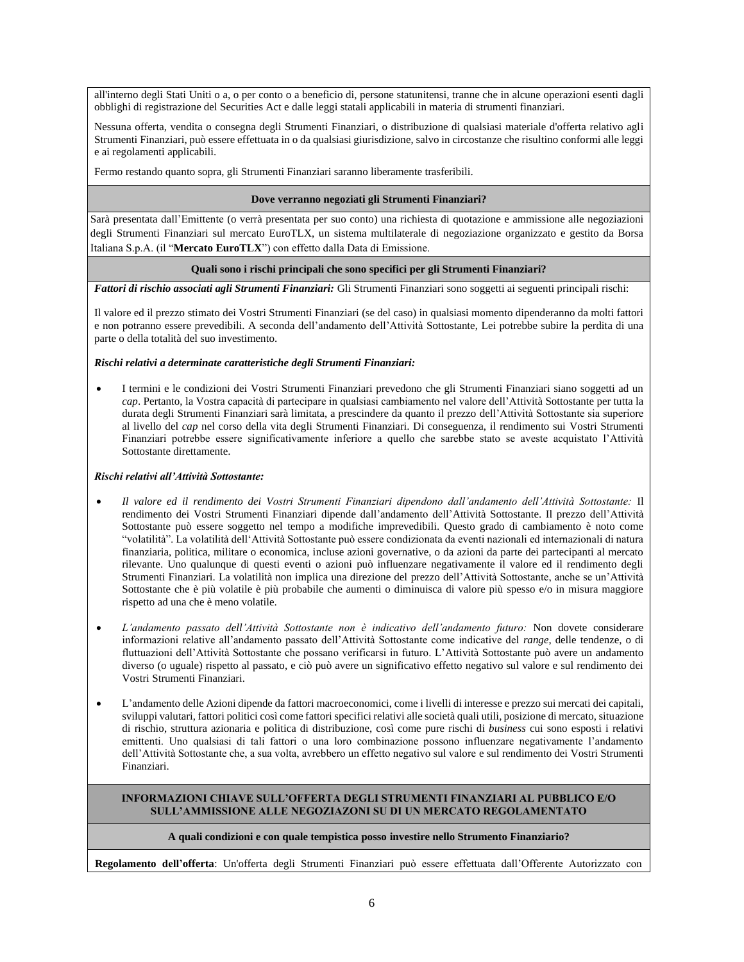all'interno degli Stati Uniti o a, o per conto o a beneficio di, persone statunitensi, tranne che in alcune operazioni esenti dagli obblighi di registrazione del Securities Act e dalle leggi statali applicabili in materia di strumenti finanziari.

Nessuna offerta, vendita o consegna degli Strumenti Finanziari, o distribuzione di qualsiasi materiale d'offerta relativo agli Strumenti Finanziari, può essere effettuata in o da qualsiasi giurisdizione, salvo in circostanze che risultino conformi alle leggi e ai regolamenti applicabili.

Fermo restando quanto sopra, gli Strumenti Finanziari saranno liberamente trasferibili.

#### **Dove verranno negoziati gli Strumenti Finanziari?**

Sarà presentata dall'Emittente (o verrà presentata per suo conto) una richiesta di quotazione e ammissione alle negoziazioni degli Strumenti Finanziari sul mercato EuroTLX, un sistema multilaterale di negoziazione organizzato e gestito da Borsa Italiana S.p.A. (il "**Mercato EuroTLX**") con effetto dalla Data di Emissione.

#### **Quali sono i rischi principali che sono specifici per gli Strumenti Finanziari?**

*Fattori di rischio associati agli Strumenti Finanziari:* Gli Strumenti Finanziari sono soggetti ai seguenti principali rischi:

Il valore ed il prezzo stimato dei Vostri Strumenti Finanziari (se del caso) in qualsiasi momento dipenderanno da molti fattori e non potranno essere prevedibili. A seconda dell'andamento dell'Attività Sottostante, Lei potrebbe subire la perdita di una parte o della totalità del suo investimento.

#### *Rischi relativi a determinate caratteristiche degli Strumenti Finanziari:*

• I termini e le condizioni dei Vostri Strumenti Finanziari prevedono che gli Strumenti Finanziari siano soggetti ad un *cap*. Pertanto, la Vostra capacità di partecipare in qualsiasi cambiamento nel valore dell'Attività Sottostante per tutta la durata degli Strumenti Finanziari sarà limitata, a prescindere da quanto il prezzo dell'Attività Sottostante sia superiore al livello del *cap* nel corso della vita degli Strumenti Finanziari. Di conseguenza, il rendimento sui Vostri Strumenti Finanziari potrebbe essere significativamente inferiore a quello che sarebbe stato se aveste acquistato l'Attività Sottostante direttamente.

#### *Rischi relativi all'Attività Sottostante:*

- *Il valore ed il rendimento dei Vostri Strumenti Finanziari dipendono dall'andamento dell'Attività Sottostante:* Il rendimento dei Vostri Strumenti Finanziari dipende dall'andamento dell'Attività Sottostante. Il prezzo dell'Attività Sottostante può essere soggetto nel tempo a modifiche imprevedibili. Questo grado di cambiamento è noto come "volatilità". La volatilità dell'Attività Sottostante può essere condizionata da eventi nazionali ed internazionali di natura finanziaria, politica, militare o economica, incluse azioni governative, o da azioni da parte dei partecipanti al mercato rilevante. Uno qualunque di questi eventi o azioni può influenzare negativamente il valore ed il rendimento degli Strumenti Finanziari. La volatilità non implica una direzione del prezzo dell'Attività Sottostante, anche se un'Attività Sottostante che è più volatile è più probabile che aumenti o diminuisca di valore più spesso e/o in misura maggiore rispetto ad una che è meno volatile.
- *L'andamento passato dell'Attività Sottostante non è indicativo dell'andamento futuro:* Non dovete considerare informazioni relative all'andamento passato dell'Attività Sottostante come indicative del *range*, delle tendenze, o di fluttuazioni dell'Attività Sottostante che possano verificarsi in futuro. L'Attività Sottostante può avere un andamento diverso (o uguale) rispetto al passato, e ciò può avere un significativo effetto negativo sul valore e sul rendimento dei Vostri Strumenti Finanziari.
- L'andamento delle Azioni dipende da fattori macroeconomici, come i livelli di interesse e prezzo sui mercati dei capitali, sviluppi valutari, fattori politici così come fattori specifici relativi alle società quali utili, posizione di mercato, situazione di rischio, struttura azionaria e politica di distribuzione, così come pure rischi di *business* cui sono esposti i relativi emittenti. Uno qualsiasi di tali fattori o una loro combinazione possono influenzare negativamente l'andamento dell'Attività Sottostante che, a sua volta, avrebbero un effetto negativo sul valore e sul rendimento dei Vostri Strumenti Finanziari.

#### **INFORMAZIONI CHIAVE SULL'OFFERTA DEGLI STRUMENTI FINANZIARI AL PUBBLICO E/O SULL'AMMISSIONE ALLE NEGOZIAZONI SU DI UN MERCATO REGOLAMENTATO**

#### **A quali condizioni e con quale tempistica posso investire nello Strumento Finanziario?**

**Regolamento dell'offerta**: Un'offerta degli Strumenti Finanziari può essere effettuata dall'Offerente Autorizzato con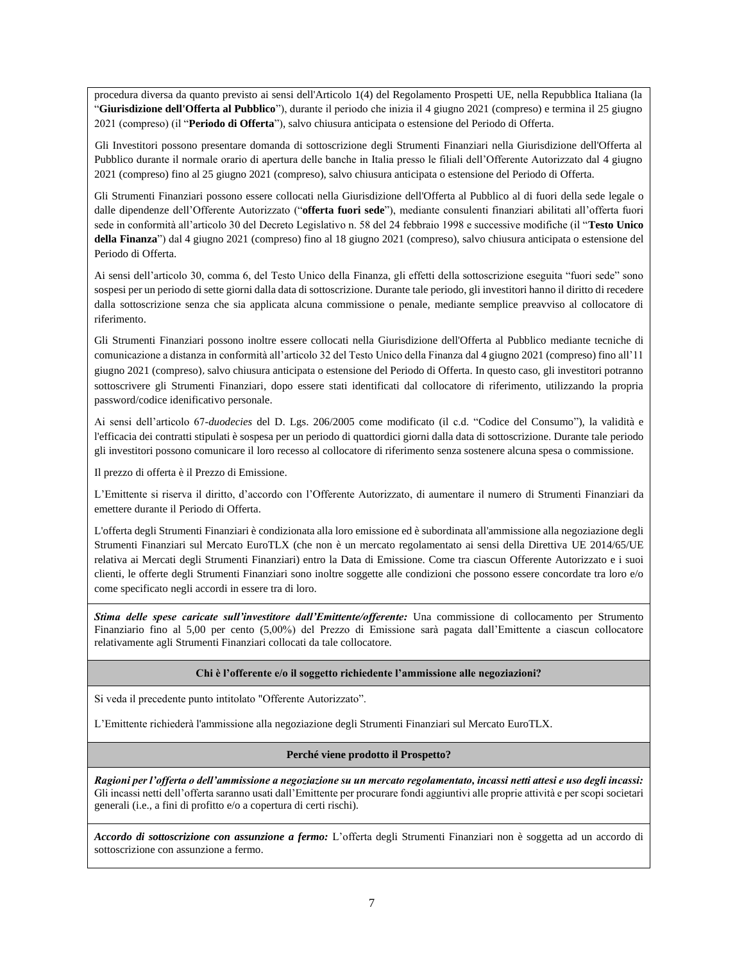procedura diversa da quanto previsto ai sensi dell'Articolo 1(4) del Regolamento Prospetti UE, nella Repubblica Italiana (la "**Giurisdizione dell'Offerta al Pubblico**"), durante il periodo che inizia il 4 giugno 2021 (compreso) e termina il 25 giugno 2021 (compreso) (il "**Periodo di Offerta**"), salvo chiusura anticipata o estensione del Periodo di Offerta.

Gli Investitori possono presentare domanda di sottoscrizione degli Strumenti Finanziari nella Giurisdizione dell'Offerta al Pubblico durante il normale orario di apertura delle banche in Italia presso le filiali dell'Offerente Autorizzato dal 4 giugno 2021 (compreso) fino al 25 giugno 2021 (compreso), salvo chiusura anticipata o estensione del Periodo di Offerta.

Gli Strumenti Finanziari possono essere collocati nella Giurisdizione dell'Offerta al Pubblico al di fuori della sede legale o dalle dipendenze dell'Offerente Autorizzato ("**offerta fuori sede**"), mediante consulenti finanziari abilitati all'offerta fuori sede in conformità all'articolo 30 del Decreto Legislativo n. 58 del 24 febbraio 1998 e successive modifiche (il "**Testo Unico della Finanza**") dal 4 giugno 2021 (compreso) fino al 18 giugno 2021 (compreso), salvo chiusura anticipata o estensione del Periodo di Offerta.

Ai sensi dell'articolo 30, comma 6, del Testo Unico della Finanza, gli effetti della sottoscrizione eseguita "fuori sede" sono sospesi per un periodo di sette giorni dalla data di sottoscrizione. Durante tale periodo, gli investitori hanno il diritto di recedere dalla sottoscrizione senza che sia applicata alcuna commissione o penale, mediante semplice preavviso al collocatore di riferimento.

Gli Strumenti Finanziari possono inoltre essere collocati nella Giurisdizione dell'Offerta al Pubblico mediante tecniche di comunicazione a distanza in conformità all'articolo 32 del Testo Unico della Finanza dal 4 giugno 2021 (compreso) fino all'11 giugno 2021 (compreso), salvo chiusura anticipata o estensione del Periodo di Offerta. In questo caso, gli investitori potranno sottoscrivere gli Strumenti Finanziari, dopo essere stati identificati dal collocatore di riferimento, utilizzando la propria password/codice idenificativo personale.

Ai sensi dell'articolo 67-*duodecies* del D. Lgs. 206/2005 come modificato (il c.d. "Codice del Consumo"), la validità e l'efficacia dei contratti stipulati è sospesa per un periodo di quattordici giorni dalla data di sottoscrizione. Durante tale periodo gli investitori possono comunicare il loro recesso al collocatore di riferimento senza sostenere alcuna spesa o commissione.

Il prezzo di offerta è il Prezzo di Emissione.

L'Emittente si riserva il diritto, d'accordo con l'Offerente Autorizzato, di aumentare il numero di Strumenti Finanziari da emettere durante il Periodo di Offerta.

L'offerta degli Strumenti Finanziari è condizionata alla loro emissione ed è subordinata all'ammissione alla negoziazione degli Strumenti Finanziari sul Mercato EuroTLX (che non è un mercato regolamentato ai sensi della Direttiva UE 2014/65/UE relativa ai Mercati degli Strumenti Finanziari) entro la Data di Emissione. Come tra ciascun Offerente Autorizzato e i suoi clienti, le offerte degli Strumenti Finanziari sono inoltre soggette alle condizioni che possono essere concordate tra loro e/o come specificato negli accordi in essere tra di loro.

*Stima delle spese caricate sull'investitore dall'Emittente/offerente:* Una commissione di collocamento per Strumento Finanziario fino al 5,00 per cento (5,00%) del Prezzo di Emissione sarà pagata dall'Emittente a ciascun collocatore relativamente agli Strumenti Finanziari collocati da tale collocatore.

#### **Chi è l'offerente e/o il soggetto richiedente l'ammissione alle negoziazioni?**

Si veda il precedente punto intitolato "Offerente Autorizzato".

L'Emittente richiederà l'ammissione alla negoziazione degli Strumenti Finanziari sul Mercato EuroTLX.

#### **Perché viene prodotto il Prospetto?**

*Ragioni per l'offerta o dell'ammissione a negoziazione su un mercato regolamentato, incassi netti attesi e uso degli incassi:* Gli incassi netti dell'offerta saranno usati dall'Emittente per procurare fondi aggiuntivi alle proprie attività e per scopi societari generali (i.e., a fini di profitto e/o a copertura di certi rischi).

*Accordo di sottoscrizione con assunzione a fermo:* L'offerta degli Strumenti Finanziari non è soggetta ad un accordo di sottoscrizione con assunzione a fermo.